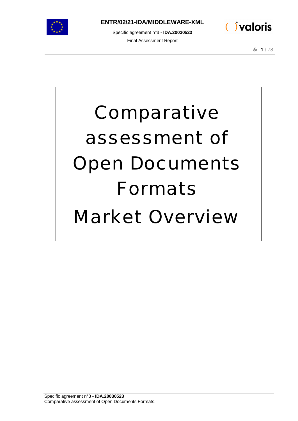

Specific agreement n°3 **- IDA.20030523**  Final Assessment Report



# Comparative assessment of Open Documents Formats Market Overview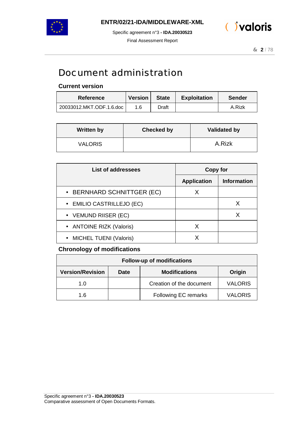



# Document administration

#### **Current version**

| Reference                | <b>Version</b> | <b>State</b> | <b>Exploitation</b> | <b>Sender</b> |
|--------------------------|----------------|--------------|---------------------|---------------|
| 20033012.MKT.ODF.1.6.doc |                | Draft        |                     | A.Rizk        |

| <b>Written by</b> | <b>Checked by</b> | <b>Validated by</b> |
|-------------------|-------------------|---------------------|
| <b>VALORIS</b>    |                   | A.Rizk              |

| <b>List of addressees</b>  | <b>Copy for</b>    |                    |
|----------------------------|--------------------|--------------------|
|                            | <b>Application</b> | <b>Information</b> |
| • BERNHARD SCHNITTGER (EC) | Х                  |                    |
| • EMILIO CASTRILLEJO (EC)  |                    | X                  |
| • VEMUND RIISER (EC)       |                    |                    |
| • ANTOINE RIZK (Valoris)   | X                  |                    |
| • MICHEL TUENI (Valoris)   |                    |                    |

#### **Chronology of modifications**

| Follow-up of modifications             |  |                          |                |  |
|----------------------------------------|--|--------------------------|----------------|--|
| <b>Version/Revision</b><br><b>Date</b> |  | <b>Modifications</b>     | Origin         |  |
| 1.0                                    |  | Creation of the document | <b>VALORIS</b> |  |
| Following EC remarks<br>1.6            |  | <b>VALORIS</b>           |                |  |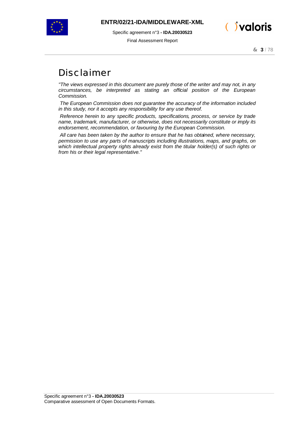

Specific agreement n°3 **- IDA.20030523** 

Final Assessment Report



**& 3 /** 78

# Disclaimer

*"The views expressed in this document are purely those of the writer and may not, in any circumstances, be interpreted as stating an official position of the European Commission.*

*The European Commission does not guarantee the accuracy of the information included in this study, nor it accepts any responsibility for any use thereof.* 

*Reference herein to any specific products, specifications, process, or service by trade name, trademark, manufacturer, or otherwise, does not necessarily constitute or imply its endorsement, recommendation, or favouring by the European Commission.*

*All care has been taken by the author to ensure that he has obtained, where necessary, permission to use any parts of manuscripts including illustrations, maps, and graphs, on which intellectual property rights already exist from the titular holder(s) of such rights or from his or their legal representative."*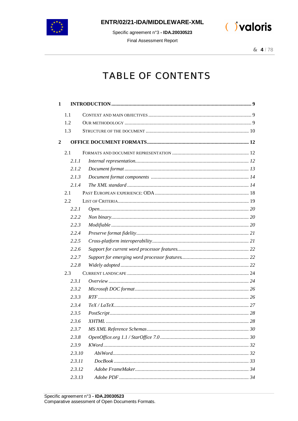

Specific agreement n°3 - IDA.20030523 Final Assessment Report



& 4/78

# **TABLE OF CONTENTS**

| $\mathbf{1}$   |        |  |
|----------------|--------|--|
|                | 1.1    |  |
|                | 1.2    |  |
|                | 1.3    |  |
| $\overline{c}$ |        |  |
|                | 2.1    |  |
|                | 2.1.1  |  |
|                | 2.1.2  |  |
|                | 2.1.3  |  |
|                | 2.1.4  |  |
|                | 2.1    |  |
|                | 2.2    |  |
|                | 2.2.1  |  |
|                | 2.2.2  |  |
|                | 2.2.3  |  |
|                | 2.2.4  |  |
|                | 2.2.5  |  |
|                | 2.2.6  |  |
|                | 2.2.7  |  |
|                | 2.2.8  |  |
|                | 2.3    |  |
|                | 2.3.1  |  |
|                | 2.3.2  |  |
|                | 2.3.3  |  |
|                | 2.3.4  |  |
|                | 2.3.5  |  |
|                | 2.3.6  |  |
|                | 2.3.7  |  |
|                | 2.3.8  |  |
|                | 2.3.9  |  |
|                | 2.3.10 |  |
|                | 2.3.11 |  |
|                | 2.3.12 |  |
|                | 2.3.13 |  |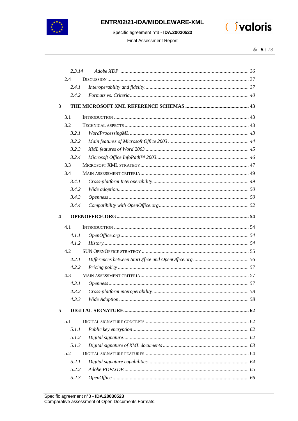



Specific agreement n°3 - IDA.20030523 Final Assessment Report

& 5/78

| 2.3.14 |  |
|--------|--|
| 2.4    |  |
| 2.4.1  |  |
| 2.4.2  |  |
| 3      |  |
| 3.1    |  |
| 3.2    |  |
| 3.2.1  |  |
| 3.2.2  |  |
| 3.2.3  |  |
| 3.2.4  |  |
| 3.3    |  |
| 3.4    |  |
| 3.4.1  |  |
| 3.4.2  |  |
| 3.4.3  |  |
| 3.4.4  |  |
| 4      |  |
| 4.1    |  |
| 4.1.1  |  |
| 4.1.2  |  |
| 4.2    |  |
| 4.2.1  |  |
| 4.2.2  |  |
| 4.3    |  |
| 4.3.1  |  |
| 4.3.2  |  |
| 4.3.3  |  |
| 5      |  |
| 5.1    |  |
| 5.1.1  |  |
| 5.1.2  |  |
| 5.1.3  |  |
| 5.2    |  |
| 5.2.1  |  |
| 5.2.2  |  |
| 5.2.3  |  |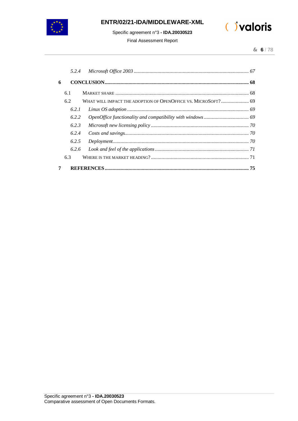





Final Assessment Report

**& 6 /** 78

|   | 5.2.4 |                                                               |  |
|---|-------|---------------------------------------------------------------|--|
| 6 |       |                                                               |  |
|   | 6.1   |                                                               |  |
|   | 6.2   | WHAT WILL IMPACT THE ADOPTION OF OPENOFFICE VS. MICROSOFT? 69 |  |
|   | 6.2.1 |                                                               |  |
|   | 6.2.2 |                                                               |  |
|   | 6.2.3 |                                                               |  |
|   | 6.2.4 |                                                               |  |
|   | 6.2.5 |                                                               |  |
|   | 6.2.6 |                                                               |  |
|   | 6.3   |                                                               |  |
| 7 |       |                                                               |  |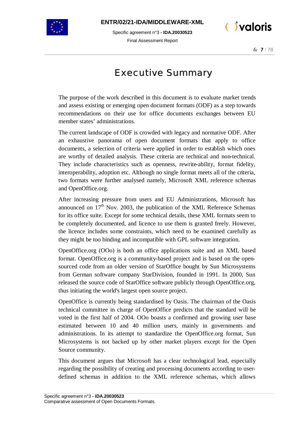



# Executive Summary

The purpose of the work described in this document is to evaluate market trends and assess existing or emerging open document formats (ODF) as a step towards recommendations on their use for office documents exchanges between EU member states' administrations.

The current landscape of ODF is crowded with legacy and normative ODF. After an exhaustive panorama of open document formats that apply to office documents, a selection of criteria were applied in order to establish which ones are worthy of detailed analysis. These criteria are technical and non-technical. They include characteristics such as openness, rewrite-ability, format fidelity, interoperability, adoption etc. Although no single format meets all of the criteria, two formats were further analysed namely, Microsoft XML reference schemas and OpenOffice.org.

After increasing pressure from users and EU Administrations, Microsoft has announced on  $17<sup>th</sup>$  Nov. 2003, the publication of the XML Reference Schemas for its office suite. Except for some technical details, these XML formats seem to be completely documented, and licence to use them is granted freely. However, the licence includes some constraints, which need to be examined carefully as they might be too binding and incompatible with GPL software integration.

OpenOffice.org (OOo) is both an office applications suite and an XML based format. OpenOffice.org is a community-based project and is based on the opensourced code from an older version of StarOffice bought by Sun Microsystems from German software company StarDivision, founded in 1991. In 2000, Sun released the source code of StarOffice software publicly through OpenOffice.org, thus initiating the world's largest open source project.

OpenOffice is currently being standardised by Oasis. The chairman of the Oasis technical committee in charge of OpenOffice predicts that the standard will be voted in the first half of 2004. OOo boasts a confirmed and growing user base estimated between 10 and 40 million users, mainly in governments and administrations. In its attempt to standardize the OpenOffice.org format, Sun Microsystems is not backed up by other market players except for the Open Source community.

This document argues that Microsoft has a clear technological lead, especially regarding the possibility of creating and processing documents according to userdefined schemas in addition to the XML reference schemas, which allows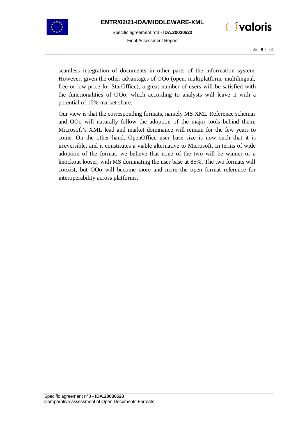

*()* valoris

Specific agreement n°3 **- IDA.20030523**  Final Assessment Report

seamless integration of documents in other parts of the information system. However, given the other advantages of OOo (open, multiplatform, multilingual, free or low-price for StarOffice), a great number of users will be satisfied with the functionalities of OOo, which according to analysts will leave it with a potential of 10% market share.

Our view is that the corresponding formats, namely MS XML Reference schemas and OOo will naturally follow the adoption of the major tools behind them. Microsoft's XML lead and market dominance will remain for the few years to come. On the other hand, OpenOffice user base size is now such that it is irreversible, and it constitutes a viable alternative to Microsoft. In terms of wide adoption of the format, we believe that none of the two will be winner or a knockout looser, with MS dominating the user base at 85%. The two formats will coexist, but OOo will become more and more the open format reference for interoperability across platforms.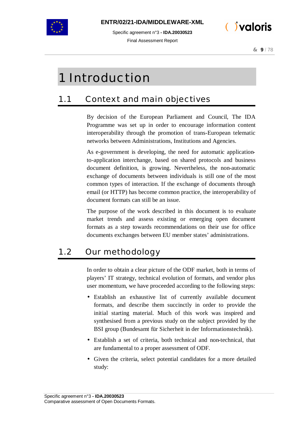





# 1 Introduction

# 1.1 Context and main objectives

By decision of the European Parliament and Council, The IDA Programme was set up in order to encourage information content interoperability through the promotion of trans-European telematic networks between Administrations, Institutions and Agencies.

As e-government is developing, the need for automatic applicationto-application interchange, based on shared protocols and business document definition, is growing. Nevertheless, the non-automatic exchange of documents between individuals is still one of the most common types of interaction. If the exchange of documents through email (or HTTP) has become common practice, the interoperability of document formats can still be an issue.

The purpose of the work described in this document is to evaluate market trends and assess existing or emerging open document formats as a step towards recommendations on their use for office documents exchanges between EU member states' administrations.

## 1.2 Our methodology

In order to obtain a clear picture of the ODF market, both in terms of players' IT strategy, technical evolution of formats, and vendor plus user momentum, we have proceeded according to the following steps:

- Establish an exhaustive list of currently available document formats, and describe them succinctly in order to provide the initial starting material. Much of this work was inspired and synthesised from a previous study on the subject provided by the BSI group (Bundesamt für Sicherheit in der Informationstechnik).
- Establish a set of criteria, both technical and non-technical, that are fundamental to a proper assessment of ODF.
- Given the criteria, select potential candidates for a more detailed study: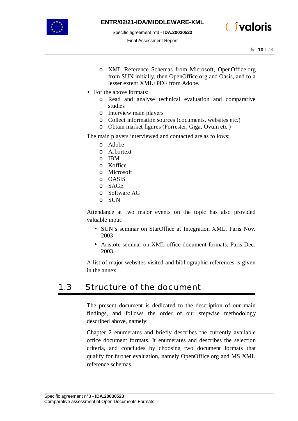



- o XML Reference Schemas from Microsoft, OpenOffice.org from SUN initially, then OpenOffice.org and Oasis, and to a lesser extent XML+PDF from Adobe.
- For the above formats:
	- o Read and analyse technical evaluation and comparative studies
	- o Interview main players
	- o Collect information sources (documents, websites etc.)
	- o Obtain market figures (Forrester, Giga, Ovum etc.)

The main players interviewed and contacted are as follows:

- o Adobe
- o Arbortext
- o IBM
- o Koffice
- o Microsoft
- o OASIS
- o SAGE
- o Software AG
- o SUN

Attendance at two major events on the topic has also provided valuable input:

- SUN's seminar on StarOffice at Integration XML, Paris Nov. 2003
- Aristote seminar on XML office document formats, Paris Dec. 2003.

A list of major websites visited and bibliographic references is given in the annex.

#### 1.3 Structure of the document

The present document is dedicated to the description of our main findings, and follows the order of our stepwise methodology described above, namely:

Chapter 2 enumerates and briefly describes the currently available office document formats. It enumerates and describes the selection criteria, and concludes by choosing two document formats that qualify for further evaluation, namely OpenOffice.org and MS XML reference schemas.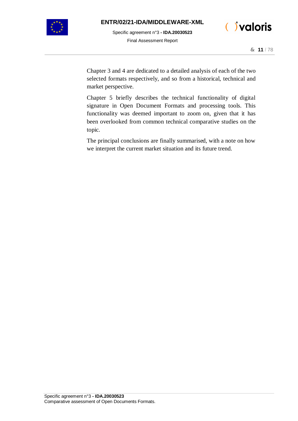



**& 11 /** 78

Chapter 3 and 4 are dedicated to a detailed analysis of each of the two selected formats respectively, and so from a historical, technical and market perspective.

Chapter 5 briefly describes the technical functionality of digital signature in Open Document Formats and processing tools. This functionality was deemed important to zoom on, given that it has been overlooked from common technical comparative studies on the topic.

The principal conclusions are finally summarised, with a note on how we interpret the current market situation and its future trend.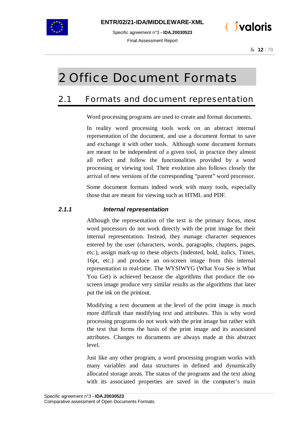



**& 12 /** 78

# 2 Office Document Formats

# 2.1 Formats and document representation

Word processing programs are used to create and format documents.

In reality word processing tools work on an abstract internal representation of the document, and use a document format to save and exchange it with other tools. Although some document formats are meant to be independent of a given tool, in practice they almost all reflect and follow the functionalities provided by a word processing or viewing tool. Their evolution also follows closely the arrival of new versions of the corresponding "parent" word processor.

Some document formats indeed work with many tools, especially those that are meant for viewing such as HTML and PDF.

#### *2.1.1 Internal representation*

Although the representation of the text is the primary focus, most word processors do not work directly with the print image for their internal representation. Instead, they manage character sequences entered by the user (characters, words, paragraphs, chapters, pages, etc.), assign mark-up to these objects (indented, bold, italics, Times, 16pt, etc.) and produce an on-screen image from this internal representation in real-time. The WYSIWYG (What You See is What You Get) is achieved because the algorithms that produce the onscreen image produce very similar results as the algorithms that later put the ink on the printout.

Modifying a text document at the level of the print image is much more difficult than modifying text and attributes. This is why word processing programs do not work with the print image but rather with the text that forms the basis of the print image and its associated attributes. Changes to documents are always made at this abstract level.

Just like any other program, a word processing program works with many variables and data structures in defined and dynamically allocated storage areas. The status of the programs and the text along with its associated properties are saved in the computer's main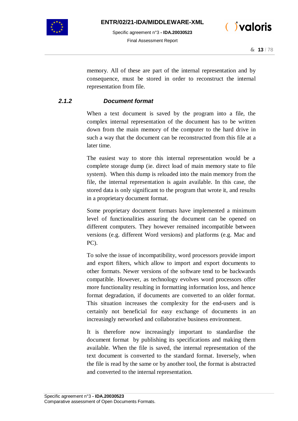



memory. All of these are part of the internal representation and by consequence, must be stored in order to reconstruct the internal representation from file.

#### *2.1.2 Document format*

When a text document is saved by the program into a file, the complex internal representation of the document has to be written down from the main memory of the computer to the hard drive in such a way that the document can be reconstructed from this file at a later time.

The easiest way to store this internal representation would be a complete storage dump (ie. direct load of main memory state to file system). When this dump is reloaded into the main memory from the file, the internal representation is again available. In this case, the stored data is only significant to the program that wrote it, and results in a proprietary document format.

Some proprietary document formats have implemented a minimum level of functionalities assuring the document can be opened on different computers. They however remained incompatible between versions (e.g. different Word versions) and platforms (e.g. Mac and PC).

To solve the issue of incompatibility, word processors provide import and export filters, which allow to import and export documents to other formats. Newer versions of the software tend to be backwards compatible. However, as technology evolves word processors offer more functionality resulting in formatting information loss, and hence format degradation, if documents are converted to an older format. This situation increases the complexity for the end-users and is certainly not beneficial for easy exchange of documents in an increasingly networked and collaborative business environment.

It is therefore now increasingly important to standardise the document format by publishing its specifications and making them available. When the file is saved, the internal representation of the text document is converted to the standard format. Inversely, when the file is read by the same or by another tool, the format is abstracted and converted to the internal representation.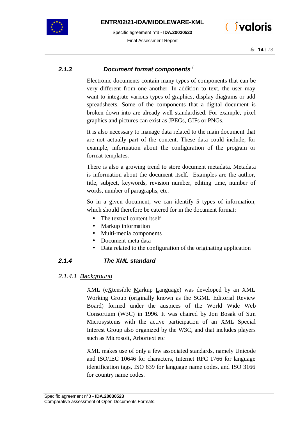



#### *2.1.3 Document format components <sup>i</sup>*

Electronic documents contain many types of components that can be very different from one another. In addition to text, the user may want to integrate various types of graphics, display diagrams or add spreadsheets. Some of the components that a digital document is broken down into are already well standardised. For example, pixel graphics and pictures can exist as JPEGs, GIFs or PNGs.

It is also necessary to manage data related to the main document that are not actually part of the content. These data could include, for example, information about the configuration of the program or format templates.

There is also a growing trend to store document metadata. Metadata is information about the document itself. Examples are the author, title, subject, keywords, revision number, editing time, number of words, number of paragraphs, etc.

So in a given document, we can identify 5 types of information, which should therefore be catered for in the document format:

- The textual content itself
- Markup information
- Multi-media components
- Document meta data
- Data related to the configuration of the originating application

#### *2.1.4 The XML standard*

#### *2.1.4.1 Background*

XML (eXtensible Markup Language) was developed by an XML Working Group (originally known as the SGML Editorial Review Board) formed under the auspices of the World Wide Web Consortium (W3C) in 1996. It was chaired by Jon Bosak of Sun Microsystems with the active participation of an XML Special Interest Group also organized by the W3C, and that includes players such as Microsoft, Arbortext etc

XML makes use of only a few associated standards, namely Unicode and ISO/IEC 10646 for characters, Internet RFC 1766 for language identification tags, ISO 639 for language name codes, and ISO 3166 for country name codes.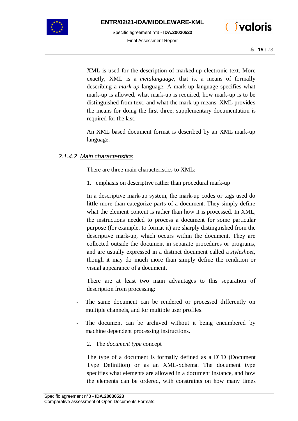





XML is used for the description of marked-up electronic text. More exactly, XML is a *metalanguage*, that is, a means of formally describing a *mark-up* language. A mark-up language specifies what mark-up is allowed, what mark-up is required, how mark-up is to be distinguished from text, and what the mark-up means. XML provides the means for doing the first three; supplementary documentation is required for the last.

An XML based document format is described by an XML mark-up language.

#### *2.1.4.2 Main characteristics*

There are three main characteristics to XML:

1. emphasis on descriptive rather than procedural mark-up

In a descriptive mark-up system, the mark-up codes or tags used do little more than categorize parts of a document. They simply define what the element content is rather than how it is processed. In XML, the instructions needed to process a document for some particular purpose (for example, to format it) are sharply distinguished from the descriptive mark-up, which occurs within the document. They are collected outside the document in separate procedures or programs, and are usually expressed in a distinct document called a *stylesheet*, though it may do much more than simply define the rendition or visual appearance of a document.

There are at least two main advantages to this separation of description from processing:

- The same document can be rendered or processed differently on multiple channels, and for multiple user profiles.
- The document can be archived without it being encumbered by machine dependent processing instructions.

#### 2. The *document type* concept

The type of a document is formally defined as a DTD (Document Type Definition) or as an XML-Schema. The document type specifies what elements are allowed in a document instance, and how the elements can be ordered, with constraints on how many times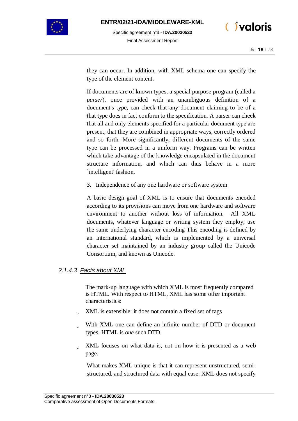



they can occur. In addition, with XML schema one can specify the type of the element content.

If documents are of known types, a special purpose program (called a *parser*), once provided with an unambiguous definition of a document's type, can check that any document claiming to be of a that type does in fact conform to the specification. A parser can check that all and only elements specified for a particular document type are present, that they are combined in appropriate ways, correctly ordered and so forth. More significantly, different documents of the same type can be processed in a uniform way. Programs can be written which take advantage of the knowledge encapsulated in the document structure information, and which can thus behave in a more `intelligent' fashion.

3. Independence of any one hardware or software system

A basic design goal of XML is to ensure that documents encoded according to its provisions can move from one hardware and software environment to another without loss of information. All XML documents, whatever language or writing system they employ, use the same underlying character encoding This encoding is defined by an international standard, which is implemented by a universal character set maintained by an industry group called the Unicode Consortium, and known as Unicode.

#### *2.1.4.3 Facts about XML*

The mark-up language with which XML is most frequently compared is HTML. With respect to HTML, XML has some other important characteristics:

- ü XML is extensible: it does not contain a fixed set of tags
- ü With XML one can define an infinite number of DTD or document types. HTML is *one* such DTD.
- ü XML focuses on what data is, not on how it is presented as a web page.

What makes XML unique is that it can represent unstructured, semistructured, and structured data with equal ease. XML does not specify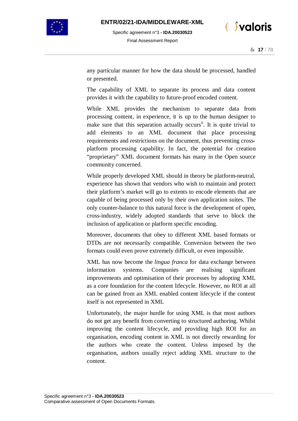



any particular manner for how the data should be processed, handled or presented.

The capability of XML to separate its process and data content provides it with the capability to future-proof encoded content.

While XML provides the mechanism to separate data from processing content, in experience, it is up to the human designer to make sure that this separation actually occurs<sup>ii</sup>. It is quite trivial to add elements to an XML document that place processing requirements and restrictions on the document, thus preventing crossplatform processing capability. In fact, the potential for creation "proprietary" XML document formats has many in the Open source community concerned.

While properly developed XML should in theory be platform-neutral, experience has shown that vendors who wish to maintain and protect their platform's market will go to extents to encode elements that are capable of being processed only by their own application suites. The only counter-balance to this natural force is the development of open, cross-industry, widely adopted standards that serve to block the inclusion of application or platform specific encoding.

Moreover, documents that obey to different XML based formats or DTDs are not necessarily compatible. Conversion between the two formats could even prove extremely difficult, or even impossible.

XML has now become the *lingua franca* for data exchange between information systems. Companies are realising significant improvements and optimisation of their processes by adopting XML as a core foundation for the content lifecycle. However, no ROI at all can be gained from an XML enabled content lifecycle if the content itself is not represented in XML

Unfortunately, the major hurdle for using XML is that most authors do not get any benefit from converting to structured authoring. Whilst improving the content lifecycle, and providing high ROI for an organisation, encoding content in XML is not directly rewarding for the authors who create the content. Unless imposed by the organisation, authors usually reject adding XML structure to the content.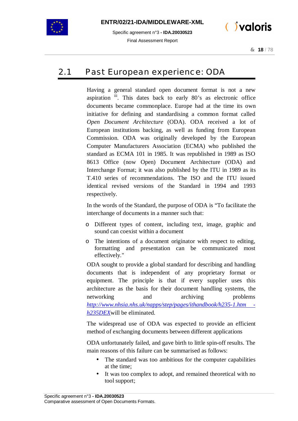



# 2.1 Past European experience: ODA

Having a general standard open document format is not a new aspiration  $\overline{u}$ . This dates back to early 80's as electronic office documents became commonplace. Europe had at the time its own initiative for defining and standardising a common format called *Open Document Architecture* (ODA). ODA received a lot of European institutions backing, as well as funding from European Commission. ODA was originally developed by the European Computer Manufacturers Association (ECMA) who published the standard as ECMA 101 in 1985. It was republished in 1989 as ISO 8613 Office (now Open) Document Architecture (ODA) and Interchange Format; it was also published by the ITU in 1989 as its T.410 series of recommendations. The ISO and the ITU issued identical revised versions of the Standard in 1994 and 1993 respectively.

In the words of the Standard, the purpose of ODA is "To facilitate the interchange of documents in a manner such that:

- o Different types of content, including text, image, graphic and sound can coexist within a document
- o The intentions of a document originator with respect to editing, formatting and presentation can be communicated most effectively."

ODA sought to provide a global standard for describing and handling documents that is independent of any proprietary format or equipment. The principle is that if every supplier uses this architecture as the basis for their document handling systems, the networking and archiving problems *http://www.nhsia.nhs.uk/napps/step/pages/ithandbook/h235-1.htm h235DEX*will be eliminated.

The widespread use of ODA was expected to provide an efficient method of exchanging documents between different applications

ODA unfortunately failed, and gave birth to little spin-off results. The main reasons of this failure can be summarised as follows:

- The standard was too ambitious for the computer capabilities at the time;
- It was too complex to adopt, and remained theoretical with no tool support;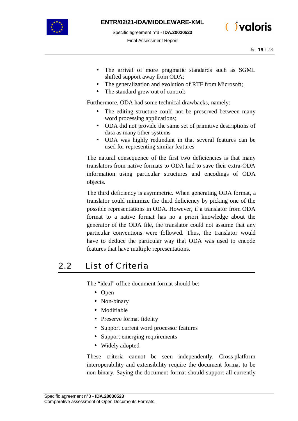



- The arrival of more pragmatic standards such as SGML shifted support away from ODA;
- The generalization and evolution of RTF from Microsoft;
- The standard grew out of control;

Furthermore, ODA had some technical drawbacks, namely:

- The editing structure could not be preserved between many word processing applications;
- ODA did not provide the same set of primitive descriptions of data as many other systems
- ODA was highly redundant in that several features can be used for representing similar features

The natural consequence of the first two deficiencies is that many translators from native formats to ODA had to save their extra-ODA information using particular structures and encodings of ODA objects.

The third deficiency is asymmetric. When generating ODA format, a translator could minimize the third deficiency by picking one of the possible representations in ODA. However, if a translator from ODA format to a native format has no a priori knowledge about the generator of the ODA file, the translator could not assume that any particular conventions were followed. Thus, the translator would have to deduce the particular way that ODA was used to encode features that have multiple representations.

### 2.2 List of Criteria

The "ideal" office document format should be:

- Open
- Non-binary
- Modifiable
- Preserve format fidelity
- Support current word processor features
- Support emerging requirements
- Widely adopted

These criteria cannot be seen independently. Cross-platform interoperability and extensibility require the document format to be non-binary. Saying the document format should support all currently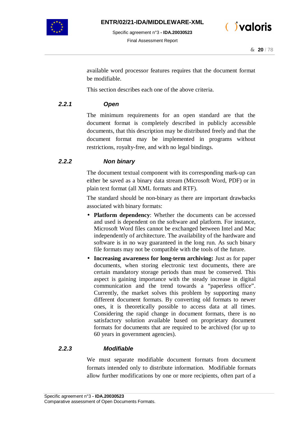

Specific agreement n°3 **- IDA.20030523**  Final Assessment Report



available word processor features requires that the document format be modifiable.

This section describes each one of the above criteria.

#### *2.2.1 Open*

The minimum requirements for an open standard are that the document format is completely described in publicly accessible documents, that this description may be distributed freely and that the document format may be implemented in programs without restrictions, royalty-free, and with no legal bindings.

#### *2.2.2 Non binary*

The document textual component with its corresponding mark-up can either be saved as a binary data stream (Microsoft Word, PDF) or in plain text format (all XML formats and RTF).

The standard should be non-binary as there are important drawbacks associated with binary formats:

- **Platform dependency**: Whether the documents can be accessed and used is dependent on the software and platform. For instance, Microsoft Word files cannot be exchanged between Intel and Mac independently of architecture. The availability of the hardware and software is in no way guaranteed in the long run. As such binary file formats may not be compatible with the tools of the future.
- **Increasing awareness for long-term archiving:** Just as for paper documents, when storing electronic text documents, there are certain mandatory storage periods than must be conserved. This aspect is gaining importance with the steady increase in digital communication and the trend towards a "paperless office". Currently, the market solves this problem by supporting many different document formats. By converting old formats to newer ones, it is theoretically possible to access data at all times. Considering the rapid change in document formats, there is no satisfactory solution available based on proprietary document formats for documents that are required to be archived (for up to 60 years in government agencies).

#### *2.2.3 Modifiable*

We must separate modifiable document formats from document formats intended only to distribute information. Modifiable formats allow further modifications by one or more recipients, often part of a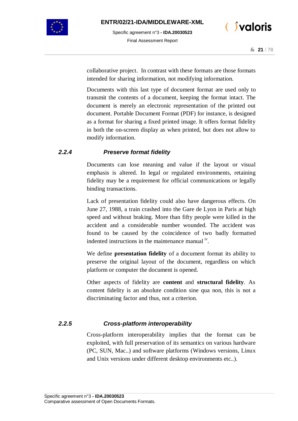



collaborative project. In contrast with these formats are those formats intended for sharing information, not modifying information.

Documents with this last type of document format are used only to transmit the contents of a document, keeping the format intact. The document is merely an electronic representation of the printed out document. Portable Document Format (PDF) for instance, is designed as a format for sharing a fixed printed image. It offers format fidelity in both the on-screen display as when printed, but does not allow to modify information.

#### *2.2.4 Preserve format fidelity*

Documents can lose meaning and value if the layout or visual emphasis is altered. In legal or regulated environments, retaining fidelity may be a requirement for official communications or legally binding transactions.

Lack of presentation fidelity could also have dangerous effects. On June 27, 1988, a train crashed into the Gare de Lyon in Paris at high speed and without braking. More than fifty people were killed in the accident and a considerable number wounded. The accident was found to be caused by the coincidence of two badly formatted indented instructions in the maintenance manual iv.

We define **presentation fidelity** of a document format its ability to preserve the original layout of the document, regardless on which platform or computer the document is opened.

Other aspects of fidelity are **content** and **structural fidelity**. As content fidelity is an absolute condition sine qua non, this is not a discriminating factor and thus, not a criterion.

#### *2.2.5 Cross-platform interoperability*

Cross-platform interoperability implies that the format can be exploited, with full preservation of its semantics on various hardware (PC, SUN, Mac..) and software platforms (Windows versions, Linux and Unix versions under different desktop environments etc..).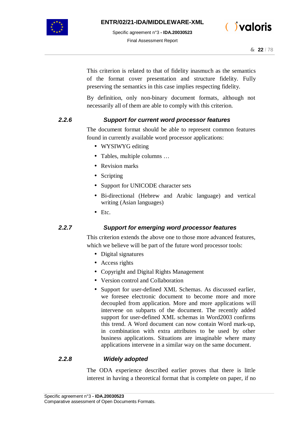



This criterion is related to that of fidelity inasmuch as the semantics of the format cover presentation and structure fidelity. Fully preserving the semantics in this case implies respecting fidelity.

By definition, only non-binary document formats, although not necessarily all of them are able to comply with this criterion.

#### *2.2.6 Support for current word processor features*

The document format should be able to represent common features found in currently available word processor applications:

- WYSIWYG editing
- Tables, multiple columns ...
- Revision marks
- Scripting
- Support for UNICODE character sets
- Bi-directional (Hebrew and Arabic language) and vertical writing (Asian languages)
- Etc.

#### *2.2.7 Support for emerging word processor features*

This criterion extends the above one to those more advanced features, which we believe will be part of the future word processor tools:

- Digital signatures
- Access rights
- Copyright and Digital Rights Management
- Version control and Collaboration
- Support for user-defined XML Schemas. As discussed earlier, we foresee electronic document to become more and more decoupled from application. More and more applications will intervene on subparts of the document. The recently added support for user-defined XML schemas in Word2003 confirms this trend. A Word document can now contain Word mark-up, in combination with extra attributes to be used by other business applications. Situations are imaginable where many applications intervene in a similar way on the same document.

#### *2.2.8 Widely adopted*

The ODA experience described earlier proves that there is little interest in having a theoretical format that is complete on paper, if no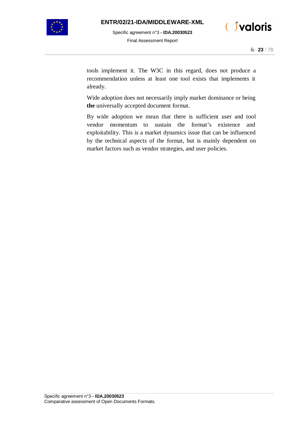

Specific agreement n°3 **- IDA.20030523**  Final Assessment Report



tools implement it. The W3C in this regard, does not produce a recommendation unless at least one tool exists that implements it already.

Wide adoption does not necessarily imply market dominance or being **the** universally accepted document format.

By wide adoption we mean that there is sufficient user and tool vendor momentum to sustain the format's existence and exploitability. This is a market dynamics issue that can be influenced by the technical aspects of the format, but is mainly dependent on market factors such as vendor strategies, and user policies.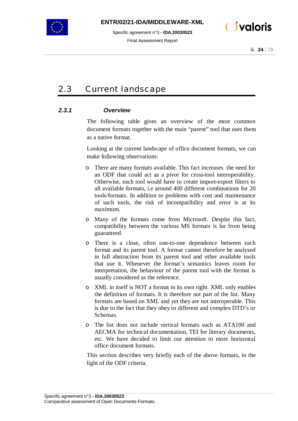



# 2.3 Current landscape

#### *2.3.1 Overview*

The following table gives an overview of the most common document formats together with the main "parent" tool that uses them as a native format.

Looking at the current landscape of office document formats, we can make following observations:

- o There are many formats available. This fact increases the need for an ODF that could act as a pivot for cross-tool interoperability. Otherwise, each tool would have to create import-export filters to all available formats, i.e around 400 different combinations for 20 tools/formats. In addition to problems with cost and maintenance of such tools, the risk of incompatibility and error is at its maximum.
- o Many of the formats come from Microsoft. Despite this fact, compatibility between the various MS formats is far from being guaranteed.
- o There is a close, often one-to-one dependence between each format and its parent tool. A format cannot therefore be analysed in full abstraction from its parent tool and other available tools that use it. Whenever the format's semantics leaves room for interpretation, the behaviour of the parent tool with the format is usually considered as the reference.
- o XML in itself is NOT a format in its own right. XML only enables the definition of formats. It is therefore not part of the list. Many formats are based on XML and yet they are not interoperable. This is due to the fact that they obey to different and complex DTD's or Schemas.
- o The list does not include vertical formats such as ATA100 and AECMA for technical documentation, TEI for literary documents, etc. We have decided to limit our attention to more horizontal office document formats.

This section describes very briefly each of the above formats, in the light of the ODF criteria.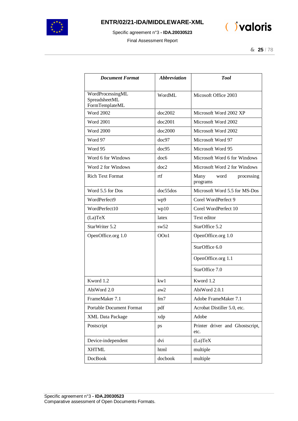

Specific agreement n°3 **- IDA.20030523**  Final Assessment Report



**& 25 /** 78

| <b>Document Format</b>                              | <b>Abbreviation</b> | <b>Tool</b>                             |
|-----------------------------------------------------|---------------------|-----------------------------------------|
| WordProcessingML<br>SpreadsheetML<br>FormTemplateML | WordML              | Micosoft Office 2003                    |
| <b>Word 2002</b>                                    | doc2002             | Microsoft Word 2002 XP                  |
| <b>Word 2001</b>                                    | doc2001             | Microsoft Word 2002                     |
| <b>Word 2000</b>                                    | doc2000             | Microsoft Word 2002                     |
| Word 97                                             | doc97               | Microsoft Word 97                       |
| Word 95                                             | doc95               | Microsoft Word 95                       |
| Word 6 for Windows                                  | doc6                | Microsoft Word 6 for Windows            |
| Word 2 for Windows                                  | doc2                | Microsoft Word 2 for Windows            |
| <b>Rich Text Format</b>                             | rtf                 | Many<br>word<br>processing<br>programs  |
| Word 5.5 for Dos                                    | doc55dos            | Microsoft Word 5.5 for MS-Dos           |
| WordPerfect9                                        | wp9                 | Corel WordPerfect 9                     |
| WordPerfect10                                       | wp10                | Corel WordPerfect 10                    |
| $(La)$ TeX                                          | latex               | Text editor                             |
| StarWriter 5.2                                      | sw52                | StarOffice 5.2                          |
| OpenOffice.org 1.0                                  | OOo1                | OpenOffice.org 1.0                      |
|                                                     |                     | StarOffice 6.0                          |
|                                                     |                     | OpenOffice.org 1.1                      |
|                                                     |                     | StarOffice 7.0                          |
| Kword 1.2                                           | kw1                 | Kword 1.2                               |
| AbiWord 2.0                                         | aw <sub>2</sub>     | AbiWord 2.0.1                           |
| FrameMaker 7.1                                      | fm7                 | Adobe FrameMaker 7.1                    |
| Portable Document Format                            | pdf                 | Acrobat Distiller 5.0, etc.             |
| <b>XML Data Package</b>                             | xdp                 | Adobe                                   |
| Postscript                                          | ps                  | Printer driver and Ghostscript,<br>etc. |
| Device-independent                                  | dvi                 | $(La)$ TeX                              |
| <b>XHTML</b>                                        | html                | multiple                                |
| <b>DocBook</b>                                      | docbook             | multiple                                |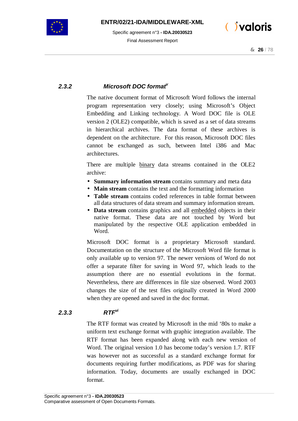



#### *2.3.2 Microsoft DOC format<sup>v</sup>*

The native document format of Microsoft Word follows the internal program representation very closely; using Microsoft's Object Embedding and Linking technology. A Word DOC file is OLE version 2 (OLE2) compatible, which is saved as a set of data streams in hierarchical archives. The data format of these archives is dependent on the architecture. For this reason, Microsoft DOC files cannot be exchanged as such, between Intel i386 and Mac architectures.

There are multiple binary data streams contained in the OLE2 archive:

- **Summary information stream** contains summary and meta data
- **Main stream** contains the text and the formatting information
- **Table stream** contains coded references in table format between all data structures of data stream and summary information stream.
- **Data stream** contains graphics and all embedded objects in their native format. These data are not touched by Word but manipulated by the respective OLE application embedded in Word.

Microsoft DOC format is a proprietary Microsoft standard. Documentation on the structure of the Microsoft Word file format is only available up to version 97. The newer versions of Word do not offer a separate filter for saving in Word 97, which leads to the assumption there are no essential evolutions in the format. Nevertheless, there are differences in file size observed. Word 2003 changes the size of the test files originally created in Word 2000 when they are opened and saved in the doc format.

#### *2.3.3 RTFvi*

The RTF format was created by Microsoft in the mid '80s to make a uniform text exchange format with graphic integration available. The RTF format has been expanded along with each new version of Word. The original version 1.0 has become today's version 1.7. RTF was however not as successful as a standard exchange format for documents requiring further modifications, as PDF was for sharing information. Today, documents are usually exchanged in DOC format.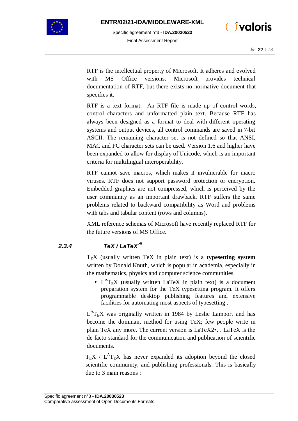



RTF is the intellectual property of Microsoft. It adheres and evolved with MS Office versions. Microsoft provides technical documentation of RTF, but there exists no normative document that specifies it.

RTF is a text format. An RTF file is made up of control words, control characters and unformatted plain text. Because RTF has always been designed as a format to deal with different operating systems and output devices, all control commands are saved in 7-bit ASCII. The remaining character set is not defined so that ANSI, MAC and PC character sets can be used. Version 1.6 and higher have been expanded to allow for display of Unicode, which is an important criteria for multilingual interoperability.

RTF cannot save macros, which makes it invulnerable for macro viruses. RTF does not support password protection or encryption. Embedded graphics are not compressed, which is perceived by the user community as an important drawback. RTF suffers the same problems related to backward compatibility as Word and problems with tabs and tabular content (rows and columns).

XML reference schemas of Microsoft have recently replaced RTF for the future versions of MS Office.

*2.3.4 TeX / LaTeXvii*

TEX (usually written TeX in plain text) is a **typesetting system** written by Donald Knuth, which is popular in academia, especially in the mathematics, physics and computer science communities.

•  $L^{A}T_{E}X$  (usually written LaTeX in plain text) is a document preparation system for the TeX typesetting program. It offers programmable desktop publishing features and extensive facilities for automating most aspects of typesetting .

 $L^{A}T_{E}X$  was originally written in 1984 by Leslie Lamport and has become the dominant method for using TeX; few people write in plain TeX any more. The current version is LaTeX2•. . LaTeX is the de facto standard for the communication and publication of scientific documents.

 $T_{E}X / L^{A}T_{E}X$  has never expanded its adoption beyond the closed scientific community, and publishing professionals. This is basically due to 3 main reasons :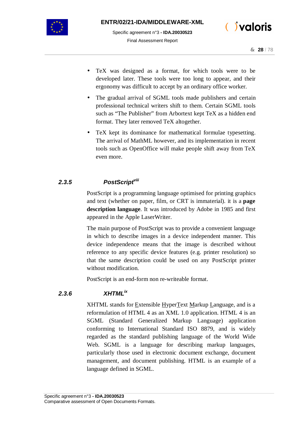



- TeX was designed as a format, for which tools were to be developed later. These tools were too long to appear, and their ergonomy was difficult to accept by an ordinary office worker.
- The gradual arrival of SGML tools made publishers and certain professional technical writers shift to them. Certain SGML tools such as "The Publisher" from Arbortext kept TeX as a hidden end format. They later removed TeX altogether.
- TeX kept its dominance for mathematical formulae typesetting. The arrival of MathML however, and its implementation in recent tools such as OpenOffice will make people shift away from TeX even more.

#### *2.3.5 PostScriptviii*

PostScript is a programming language optimised for printing graphics and text (whether on paper, film, or CRT is immaterial). it is a **page description language**. It was introduced by Adobe in 1985 and first appeared in the Apple LaserWriter.

The main purpose of PostScript was to provide a convenient language in which to describe images in a device independent manner. This device independence means that the image is described without reference to any specific device features (e.g. printer resolution) so that the same description could be used on any PostScript printer without modification.

PostScript is an end-form non re-writeable format.

#### *2.3.6 XHTMLix*

XHTML stands for Extensible HyperText Markup Language, and is a reformulation of HTML 4 as an XML 1.0 application. HTML 4 is an SGML (Standard Generalized Markup Language) application conforming to International Standard ISO 8879, and is widely regarded as the standard publishing language of the World Wide Web. SGML is a language for describing markup languages, particularly those used in electronic document exchange, document management, and document publishing. HTML is an example of a language defined in SGML.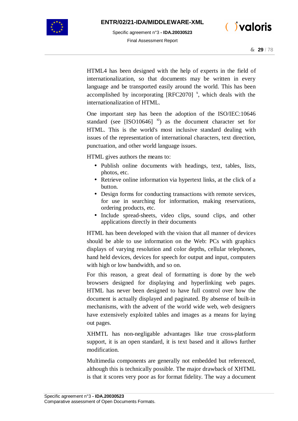



HTML4 has been designed with the help of experts in the field of internationalization, so that documents may be written in every language and be transported easily around the world. This has been accomplished by incorporating  $[RFC2070]$ <sup>x</sup>, which deals with the internationalization of HTML.

One important step has been the adoption of the ISO/IEC:10646 standard (see  $[ISO10646]$ <sup>xi</sup>) as the document character set for HTML. This is the world's most inclusive standard dealing with issues of the representation of international characters, text direction, punctuation, and other world language issues.

HTML gives authors the means to:

- Publish online documents with headings, text, tables, lists, photos, etc.
- Retrieve online information via hypertext links, at the click of a button.
- Design forms for conducting transactions with remote services, for use in searching for information, making reservations, ordering products, etc.
- Include spread-sheets, video clips, sound clips, and other applications directly in their documents

HTML has been developed with the vision that all manner of devices should be able to use information on the Web: PCs with graphics displays of varying resolution and color depths, cellular telephones, hand held devices, devices for speech for output and input, computers with high or low bandwidth, and so on.

For this reason, a great deal of formatting is done by the web browsers designed for displaying and hyperlinking web pages. HTML has never been designed to have full control over how the document is actually displayed and paginated. By absense of built-in mechanisms, with the advent of the world wide web, web designers have extensively exploited tables and images as a means for laying out pages.

XHMTL has non-negligable advantages like true cross-platform support, it is an open standard, it is text based and it allows further modification.

Multimedia components are generally not embedded but referenced, although this is technically possible. The major drawback of XHTML is that it scores very poor as for format fidelity. The way a document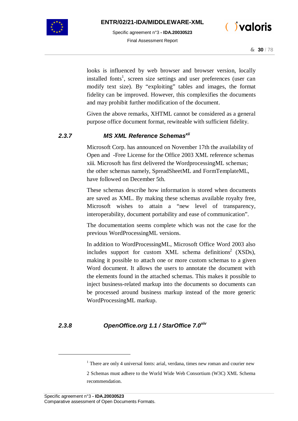



looks is influenced by web browser and browser version, locally installed fonts<sup>1</sup>, screen size settings and user preferences (user can modify text size). By "exploiting" tables and images, the format fidelity can be improved. However, this complexifies the documents and may prohibit further modification of the document.

Given the above remarks, XHTML cannot be considered as a general purpose office document format, rewiteable with sufficient fidelity.

#### *2.3.7 MS XML Reference Schemasxii*

Microsoft Corp. has announced on November 17th the availability of Open and -Free License for the Office 2003 XML reference schemas xiii. Microsoft has first delivered the WordprocessingML schemas; the other schemas namely, SpreadSheetML and FormTemplateML, have followed on December 5th.

These schemas describe how information is stored when documents are saved as XML. By making these schemas available royalty free, Microsoft wishes to attain a "new level of transparency, interoperability, document portability and ease of communication".

The documentation seems complete which was not the case for the previous WordProcessingML versions.

In addition to WordProcessingML, Microsoft Office Word 2003 also includes support for custom XML schema definitions<sup>2</sup> (XSDs), making it possible to attach one or more custom schemas to a given Word document. It allows the users to annotate the document with the elements found in the attached schemas. This makes it possible to inject business-related markup into the documents so documents can be processed around business markup instead of the more generic WordProcessingML markup.

#### *2.3.8 OpenOffice.org 1.1 / StarOffice 7.0xiv*

 $\overline{a}$ 

 $1$  There are only 4 universal fonts: arial, verdana, times new roman and courier new

<sup>2</sup> Schemas must adhere to the World Wide Web Consortium (W3C) XML Schema recommendation.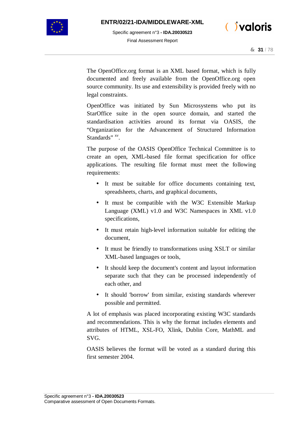





The OpenOffice.org format is an XML based format, which is fully documented and freely available from the OpenOffice.org open source community. Its use and extensibility is provided freely with no legal constraints.

OpenOffice was initiated by Sun Microsystems who put its StarOffice suite in the open source domain, and started the standardisation activities around its format via OASIS, the "Organization for the Advancement of Structured Information Standards" xv.

The purpose of the OASIS OpenOffice Technical Committee is to create an open, XML-based file format specification for office applications. The resulting file format must meet the following requirements:

- It must be suitable for office documents containing text, spreadsheets, charts, and graphical documents,
- It must be compatible with the W3C Extensible Markup Language (XML) v1.0 and W3C Namespaces in XML v1.0 specifications,
- It must retain high-level information suitable for editing the document,
- It must be friendly to transformations using XSLT or similar XML-based languages or tools,
- It should keep the document's content and layout information separate such that they can be processed independently of each other, and
- It should 'borrow' from similar, existing standards wherever possible and permitted.

A lot of emphasis was placed incorporating existing W3C standards and recommendations. This is why the format includes elements and attributes of HTML, XSL-FO, Xlink, Dublin Core, MathML and SVG.

OASIS believes the format will be voted as a standard during this first semester 2004.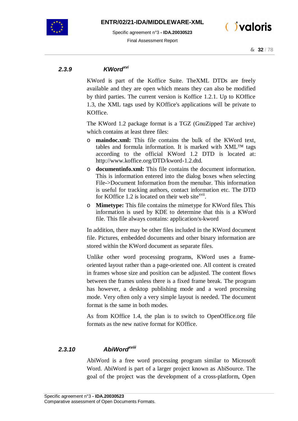





#### *2.3.9 KWordxvi*

KWord is part of the Koffice Suite. TheXML DTDs are freely available and they are open which means they can also be modified by third parties. The current version is Koffice 1.2.1. Up to KOffice 1.3, the XML tags used by KOffice's applications will be private to KOffice.

The KWord 1.2 package format is a TGZ (GnuZipped Tar archive) which contains at least three files:

- o **maindoc.xml:** This file contains the bulk of the KWord text, tables and formula information. It is marked with  $XML^{TM}$  tags according to the official KWord 1.2 DTD is located at: http://www.koffice.org/DTD/kword-1.2.dtd.
- o **documentinfo.xml:** This file contains the document information. This is information entered into the dialog boxes when selecting File->Document Information from the menubar. This information is useful for tracking authors, contact information etc. The DTD for KOffice 1.2 is located on their web site $^{xvi}$ .
- o **Mimetype:** This file contains the mimetype for KWord files. This information is used by KDE to determine that this is a KWord file. This file always contains: application/x-kword

In addition, there may be other files included in the KWord document file. Pictures, embedded documents and other binary information are stored within the KWord document as separate files.

Unlike other word processing programs, KWord uses a frameoriented layout rather than a page-oriented one. All content is created in frames whose size and position can be adjusted. The content flows between the frames unless there is a fixed frame break. The program has however, a desktop publishing mode and a word processing mode. Very often only a very simple layout is needed. The document format is the same in both modes.

As from KOffice 1.4, the plan is to switch to OpenOffice.org file formats as the new native format for KOffice.

#### *2.3.10 AbiWordxviii*

AbiWord is a free word processing program similar to Microsoft Word. AbiWord is part of a larger project known as AbiSource. The goal of the project was the development of a cross-platform, Open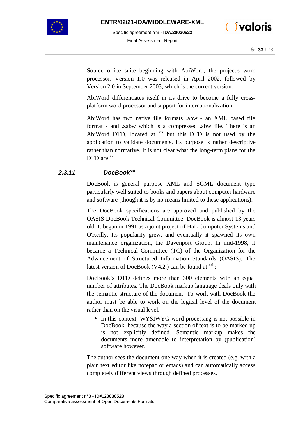



Source office suite beginning with AbiWord, the project's word processor. Version 1.0 was released in April 2002, followed by Version 2.0 in September 2003, which is the current version.

AbiWord differentiates itself in its drive to become a fully crossplatform word processor and support for internationalization.

AbiWord has two native file formats .abw - an XML based file format - and .zabw which is a compressed .abw file. There is an AbiWord DTD, located at  $x$ <sup>xix</sup> but this DTD is not used by the application to validate documents. Its purpose is rather descriptive rather than normative. It is not clear what the long-term plans for the DTD are  $\frac{xx}{x}$ .

#### *2.3.11 DocBookxxi*

DocBook is general purpose XML and SGML document type particularly well suited to books and papers about computer hardware and software (though it is by no means limited to these applications).

The DocBook specifications are approved and published by the OASIS DocBook Technical Committee. DocBook is almost 13 years old. It began in 1991 as a joint project of HaL Computer Systems and O'Reilly. Its popularity grew, and eventually it spawned its own maintenance organization, the Davenport Group. In mid-1998, it became a Technical Committee (TC) of the Organization for the Advancement of Structured Information Standards (OASIS). The latest version of DocBook (V4.2.) can be found at  $^{xxii}$ ;

DocBook's DTD defines more than 300 elements with an equal number of attributes. The DocBook markup language deals only with the semantic structure of the document. To work with DocBook the author must be able to work on the logical level of the document rather than on the visual level.

• In this context, WYSIWYG word processing is not possible in DocBook, because the way a section of text is to be marked up is not explicitly defined. Semantic markup makes the documents more amenable to interpretation by (publication) software however.

The author sees the document one way when it is created (e.g. with a plain text editor like notepad or emacs) and can automatically access completely different views through defined processes.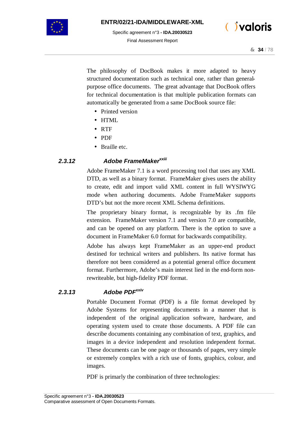



The philosophy of DocBook makes it more adapted to heavy structured documentation such as technical one, rather than generalpurpose office documents. The great advantage that DocBook offers for technical documentation is that multiple publication formats can automatically be generated from a same DocBook source file:

- Printed version
- HTML
- RTF
- PDF
- Braille etc.

#### *2.3.12 Adobe FrameMakerxxiii*

Adobe FrameMaker 7.1 is a word processing tool that uses any XML DTD, as well as a binary format. FrameMaker gives users the ability to create, edit and import valid XML content in full WYSIWYG mode when authoring documents. Adobe FrameMaker supports DTD's but not the more recent XML Schema definitions.

The proprietary binary format, is recognizable by its .fm file extension. FrameMaker version 7.1 and version 7.0 are compatible, and can be opened on any platform. There is the option to save a document in FrameMaker 6.0 format for backwards compatibility.

Adobe has always kept FrameMaker as an upper-end product destined for technical writers and publishers. Its native format has therefore not been considered as a potential general office document format. Furthermore, Adobe's main interest lied in the end-form nonrewriteable, but high-fidelity PDF format.

#### *2.3.13 Adobe PDFxxiv*

Portable Document Format (PDF) is a file format developed by Adobe Systems for representing documents in a manner that is independent of the original application software, hardware, and operating system used to create those documents. A PDF file can describe documents containing any combination of text, graphics, and images in a device independent and resolution independent format. These documents can be one page or thousands of pages, very simple or extremely complex with a rich use of fonts, graphics, colour, and images.

PDF is primarly the combination of three technologies: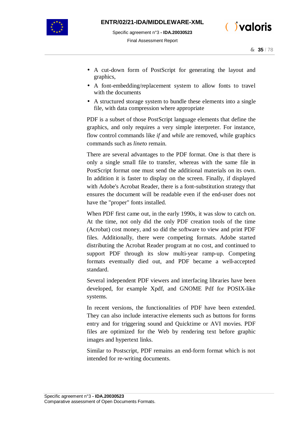



- A cut-down form of PostScript for generating the layout and graphics,
- A font-embedding/replacement system to allow fonts to travel with the documents
- A structured storage system to bundle these elements into a single file, with data compression where appropriate

PDF is a subset of those PostScript language elements that define the graphics, and only requires a very simple interpreter. For instance, flow control commands like *if* and *while* are removed, while graphics commands such as *lineto* remain.

There are several advantages to the PDF format. One is that there is only a single small file to transfer, whereas with the same file in PostScript format one must send the additional materials on its own. In addition it is faster to display on the screen. Finally, if displayed with Adobe's Acrobat Reader, there is a font-substitution strategy that ensures the document will be readable even if the end-user does not have the "proper" fonts installed.

When PDF first came out, in the early 1990s, it was slow to catch on. At the time, not only did the only PDF creation tools of the time (Acrobat) cost money, and so did the software to view and print PDF files. Additionally, there were competing formats. Adobe started distributing the Acrobat Reader program at no cost, and continued to support PDF through its slow multi-year ramp-up. Competing formats eventually died out, and PDF became a well-accepted standard.

Several independent PDF viewers and interfacing libraries have been developed, for example Xpdf, and GNOME Pdf for POSIX-like systems.

In recent versions, the functionalities of PDF have been extended. They can also include interactive elements such as buttons for forms entry and for triggering sound and Quicktime or AVI movies. PDF files are optimized for the Web by rendering text before graphic images and hypertext links.

Similar to Postscript, PDF remains an end-form format which is not intended for re-writing documents.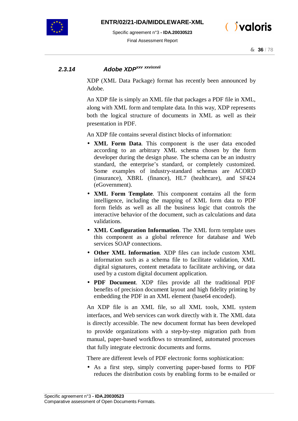



### *2.3.14 Adobe XDPxxv xxvixxvii*

XDP (XML Data Package) format has recently been announced by Adobe.

An XDP file is simply an XML file that packages a PDF file in XML, along with XML form and template data. In this way, XDP represents both the logical structure of documents in XML as well as their presentation in PDF.

An XDP file contains several distinct blocks of information:

- **XML Form Data**. This component is the user data encoded according to an arbitrary XML schema chosen by the form developer during the design phase. The schema can be an industry standard, the enterprise's standard, or completely customized. Some examples of industry-standard schemas are ACORD (insurance), XBRL (finance), HL7 (healthcare), and SF424 (eGovernment).
- **XML Form Template**. This component contains all the form intelligence, including the mapping of XML form data to PDF form fields as well as all the business logic that controls the interactive behavior of the document, such as calculations and data validations.
- **XML Configuration Information**. The XML form template uses this component as a global reference for database and Web services SOAP connections.
- **Other XML Information**. XDP files can include custom XML information such as a schema file to facilitate validation, XML digital signatures, content metadata to facilitate archiving, or data used by a custom digital document application.
- **PDF Document**. XDP files provide all the traditional PDF benefits of precision document layout and high fidelity printing by embedding the PDF in an XML element (base64 encoded).

An XDP file is an XML file, so all XML tools, XML system interfaces, and Web services can work directly with it. The XML data is directly accessible. The new document format has been developed to provide organizations with a step-by-step migration path from manual, paper-based workflows to streamlined, automated processes that fully integrate electronic documents and forms.

There are different levels of PDF electronic forms sophistication:

• As a first step, simply converting paper-based forms to PDF reduces the distribution costs by enabling forms to be e-mailed or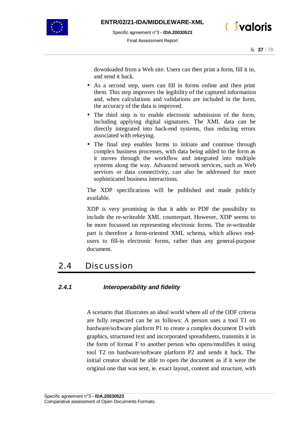



downloaded from a Web site. Users can then print a form, fill it in, and send it back.

- As a second step, users can fill in forms online and then print them. This step improves the legibility of the captured information and, when calculations and validations are included in the form, the accuracy of the data is improved.
- The third step is to enable electronic submission of the form, including applying digital signatures. The XML data can be directly integrated into back-end systems, thus reducing errors associated with rekeying.
- The final step enables forms to initiate and continue through complex business processes, with data being added to the form as it moves through the workflow and integrated into multiple systems along the way. Advanced network services, such as Web services or data connectivity, can also be addressed for more sophisticated business interactions.

The XDP specifications will be published and made publicly available.

XDP is very promising in that it adds to PDF the possibility to include the re-writeable XML counterpart. However, XDP seems to be more focussed on representing electronic forms. The re-writeable part is therefore a form-oriented XML schema, which allows endusers to fill-in electronic forms, rather than any general-purpose document.

## 2.4 Discussion

## *2.4.1 Interoperability and fidelity*

A scenario that illustrates an ideal world where all of the ODF criteria are fully respected can be as follows: A person uses a tool T1 on hardware/software platform P1 to create a complex document D with graphics, structured text and incorporated spreadsheets, transmits it in the form of format F to another person who opens/modifies it using tool T2 on hardware/software platform P2 and sends it back. The initial creator should be able to open the document as if it were the original one that was sent, ie. exact layout, content and structure, with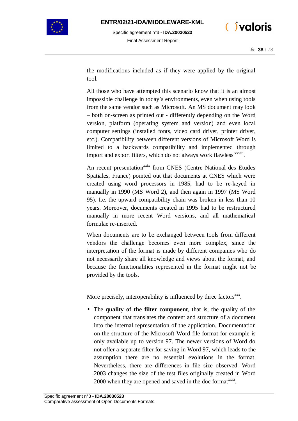



the modifications included as if they were applied by the original tool.

All those who have attempted this scenario know that it is an almost impossible challenge in today's environments, even when using tools from the same vendor such as Microsoft. An MS document may look – both on-screen as printed out - differently depending on the Word version, platform (operating system and version) and even local computer settings (installed fonts, video card driver, printer driver, etc.). Compatibility between different versions of Microsoft Word is limited to a backwards compatibility and implemented through import and export filters, which do not always work flawless xxviii.

An recent presentation<sup>xxix</sup> from CNES (Centre National des Etudes Spatiales, France) pointed out that documents at CNES which were created using word processors in 1985, had to be re-keyed in manually in 1990 (MS Word 2), and then again in 1997 (MS Word 95). I.e. the upward compatibility chain was broken in less than 10 years. Moreover, documents created in 1995 had to be restructured manually in more recent Word versions, and all mathematical formulae re-inserted.

When documents are to be exchanged between tools from different vendors the challenge becomes even more complex, since the interpretation of the format is made by different companies who do not necessarily share all knowledge and views about the format, and because the functionalities represented in the format might not be provided by the tools.

More precisely, interoperability is influenced by three factors<sup>xxx</sup>.

• The **quality of the filter component**, that is, the quality of the component that translates the content and structure of a document into the internal representation of the application. Documentation on the structure of the Microsoft Word file format for example is only available up to version 97. The newer versions of Word do not offer a separate filter for saving in Word 97, which leads to the assumption there are no essential evolutions in the format. Nevertheless, there are differences in file size observed. Word 2003 changes the size of the test files originally created in Word 2000 when they are opened and saved in the doc format<sup>xxxi</sup>.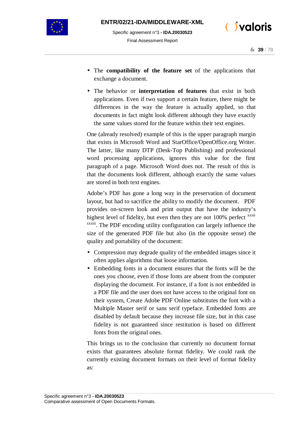



Final Assessment Report

- The **compatibility of the feature set** of the applications that exchange a document.
- The behavior or **interpretation of features** that exist in both applications. Even if two support a certain feature, there might be differences in the way the feature is actually applied, so that documents in fact might look different although they have exactly the same values stored for the feature within their text engines.

One (already resolved) example of this is the upper paragraph margin that exists in Microsoft Word and StarOffice/OpenOffice.org Writer. The latter, like many DTP (Desk-Top Publishing) and professional word processing applications, ignores this value for the first paragraph of a page. Microsoft Word does not. The result of this is that the documents look different, although exactly the same values are stored in both text engines.

Adobe's PDF has gone a long way in the preservation of document layout, but had to sacrifice the ability to modify the document. PDF provides on-screen look and print output that have the industry's highest level of fidelity, but even then they are not 100% perfect xxxii xxxiii. The PDF encoding utility configuration can largely influence the size of the generated PDF file but also (in the opposite sense) the quality and portability of the document:

- Compression may degrade quality of the embedded images since it often applies algorithms that loose information.
- Embedding fonts in a document ensures that the fonts will be the ones you choose, even if those fonts are absent from the computer displaying the document. For instance, if a font is not embedded in a PDF file and the user does not have access to the original font on their system, Create Adobe PDF Online substitutes the font with a Multiple Master serif or sans serif typeface. Embedded fonts are disabled by default because they increase file size, but in this case fidelity is not guaranteed since restitution is based on different fonts from the original ones.

This brings us to the conclusion that currently no document format exists that guarantees absolute format fidelity. We could rank the currently existing document formats on their level of format fidelity as: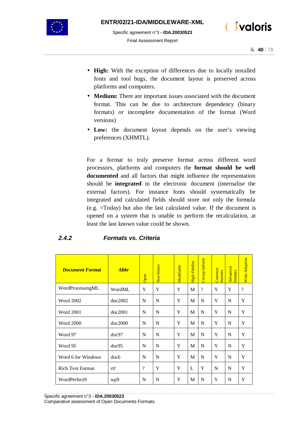



- **High:** With the exception of differences due to locally installed fonts and tool bugs, the document layout is preserved across platforms and computers.
- **Medium:** There are important issues associated with the document format. This can be due to architecture dependency (binary formats) or incomplete documentation of the format (Word versions)
- **Low:** the document layout depends on the user's viewing preferences (XHMTL).

For a format to truly preserve format across different word processors, platforms and computers the **format should be well documented** and all factors that might influence the representation should be **integrated** in the electronic document (internalise the external factors). For instance fonts should systematically be integrated and calculated fields should store not only the formula (e.g. =Today) but also the last calculated value. If the document is opened on a system that is unable to perform the recalculation, at least the last known value could be shown.

| <b>Document Format</b>  | <b>Abbr</b> | Open                     | Non-binary | Modifiable | High-Fidelity | Crossp-latform           | Common<br>features | Advanced<br>features | Wide-Adoption            |
|-------------------------|-------------|--------------------------|------------|------------|---------------|--------------------------|--------------------|----------------------|--------------------------|
| WordProcessingML        | WordML      | Y                        | Y          | Y          | M             | $\overline{\phantom{a}}$ | Y                  | Y                    | $\overline{\mathcal{L}}$ |
| <b>Word 2002</b>        | doc2002     | $\mathbf N$              | N          | Y          | М             | N                        | Y                  | N                    | Y                        |
| <b>Word 2001</b>        | doc2001     | N                        | N          | Y          | M             | N                        | Y                  | N                    | Y                        |
| <b>Word 2000</b>        | doc2000     | N                        | N          | Y          | M             | N                        | Y                  | N                    | Y                        |
| Word 97                 | doc97       | N                        | N          | Y          | M             | N                        | Y                  | N                    | Y                        |
| Word 95                 | doc95       | N                        | N          | Y          | M             | N                        | Y                  | N                    | Y                        |
| Word 6 for Windows      | doc6        | $\mathbf N$              | N          | Y          | М             | $\mathbf N$              | Y                  | N                    | Y                        |
| <b>Rich Text Format</b> | rtf         | $\overline{\mathcal{C}}$ | Y          | Y          | L             | Y                        | N                  | N                    | Y                        |
| WordPerfect9            | wp9         | N                        | N          | Y          | M             | N                        | Y                  | N                    | Y                        |

#### *2.4.2 Formats vs. Criteria*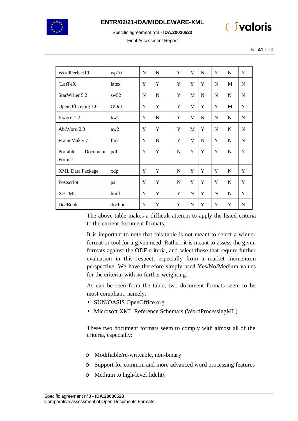

Specific agreement n°3 **- IDA.20030523** 

Final Assessment Report

**& 41 /** 78

*()* valoris

| WordPerfect10                  | wp10              | $\mathbf N$ | N           | Y | M | N           | Y | N | Y |
|--------------------------------|-------------------|-------------|-------------|---|---|-------------|---|---|---|
| $(La)$ TeX                     | latex             | Y           | Y           | Y | Y | Y           | N | M | N |
| StarWriter 5.2                 | sw52              | $\mathbf N$ | N           | Y | M | N           | N | N | N |
| OpenOffice.org 1.0             | OO <sub>o</sub> 1 | Y           | Y           | Y | M | Y           | Y | M | Y |
| Kword 1.2                      | kw1               | Y           | $\mathbf N$ | Y | M | N           | N | N | N |
| AbiWord 2.0                    | aw2               | Y           | Y           | Y | M | Y           | N | N | N |
| FrameMaker 7.1                 | fm7               | Y           | N           | Y | M | $\mathbf N$ | Y | N | N |
| Portable<br>Document<br>Format | pdf               | Y           | Y           | N | Y | Y           | Y | N | Y |
|                                |                   |             |             |   |   |             |   |   |   |
| <b>XML</b> Data Package        | xdp               | Y           | Y           | N | Y | Y           | Y | N | Y |
| Postscript                     | ps                | Y           | Y           | N | Y | Y           | Y | N | Y |
| <b>XHTML</b>                   | html              | Y           | Y           | Y | N | Y           | N | N | Y |
| <b>DocBook</b>                 | docbook           | Y           | Y           | Y | N | Y           | Y | Y | N |

The above table makes a difficult attempt to apply the listed criteria to the current document formats.

It is important to note that this table is not meant to select a winner format or tool for a given need. Rather, it is meant to assess the given formats against the ODF criteria, and select those that require further evaluation in this respect, especially from a market momentum perspective. We have therefore simply used Yes/No/Medium values for the criteria, with no further weighting.

As can be seen from the table, two document formats seem to be most compliant, namely:

- SUN/OASIS OpenOffice.org
- Microsoft XML Reference Schema's (WordProcessingML)

These two document formats seem to comply with almost all of the criteria, especially:

- o Modifiable/re-writeable, non-binary
- o Support for common and more advanced word processing features
- o Medium to high-level fidelity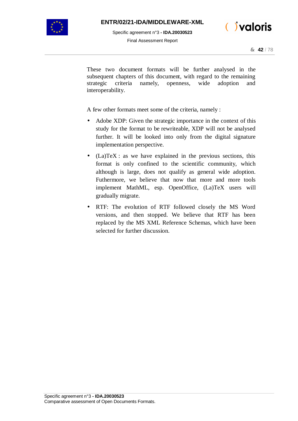

Specific agreement n°3 **- IDA.20030523**  Final Assessment Report



These two document formats will be further analysed in the subsequent chapters of this document, with regard to the remaining strategic criteria namely, openness, wide adoption and interoperability.

A few other formats meet some of the criteria, namely :

- Adobe XDP: Given the strategic importance in the context of this study for the format to be rewriteable, XDP will not be analysed further. It will be looked into only from the digital signature implementation perspective.
- $(La)$ TeX : as we have explained in the previous sections, this format is only confined to the scientific community, which although is large, does not qualify as general wide adoption. Futhermore, we believe that now that more and more tools implement MathML, esp. OpenOffice, (La)TeX users will gradually migrate.
- RTF: The evolution of RTF followed closely the MS Word versions, and then stopped. We believe that RTF has been replaced by the MS XML Reference Schemas, which have been selected for further discussion.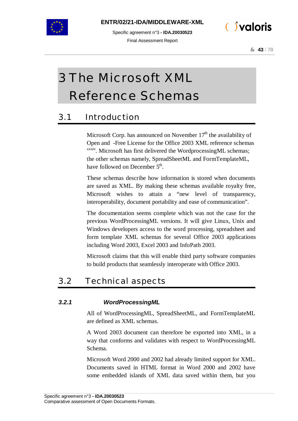



**& 43 /** 78

# 3 The Microsoft XML Reference Schemas

# 3.1 Introduction

Microsoft Corp. has announced on November  $17<sup>th</sup>$  the availability of Open and -Free License for the Office 2003 XML reference schemas xxxiv. Microsoft has first delivered the Wordprocessing ML schemas; the other schemas namely, SpreadSheetML and FormTemplateML, have followed on December 5<sup>th</sup>.

These schemas describe how information is stored when documents are saved as XML. By making these schemas available royalty free, Microsoft wishes to attain a "new level of transparency, interoperability, document portability and ease of communication".

The documentation seems complete which was not the case for the previous WordProcessingML versions. It will give Linux, Unix and Windows developers access to the word processing, spreadsheet and form template XML schemas for several Office 2003 applications including Word 2003, Excel 2003 and InfoPath 2003.

Microsoft claims that this will enable third party software companies to build products that seamlessly interoperate with Office 2003.

# 3.2 Technical aspects

## *3.2.1 WordProcessingML*

All of WordProcessingML, SpreadSheetML, and FormTemplateML are defined as XML schemas.

A Word 2003 document can therefore be exported into XML, in a way that conforms and validates with respect to WordProcessingML Schema.

Microsoft Word 2000 and 2002 had already limited support for XML. Documents saved in HTML format in Word 2000 and 2002 have some embedded islands of XML data saved within them, but you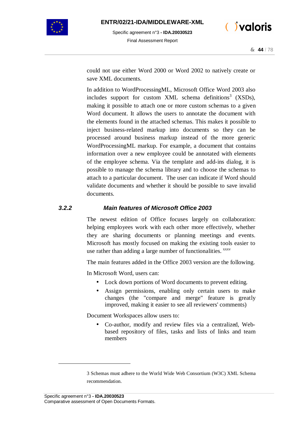



could not use either Word 2000 or Word 2002 to natively create or save XML documents.

In addition to WordProcessingML, Microsoft Office Word 2003 also includes support for custom XML schema definitions<sup>3</sup> (XSDs), making it possible to attach one or more custom schemas to a given Word document. It allows the users to annotate the document with the elements found in the attached schemas. This makes it possible to inject business-related markup into documents so they can be processed around business markup instead of the more generic WordProcessingML markup. For example, a document that contains information over a new employee could be annotated with elements of the employee schema. Via the template and add-ins dialog, it is possible to manage the schema library and to choose the schemas to attach to a particular document. The user can indicate if Word should validate documents and whether it should be possible to save invalid documents.

#### *3.2.2 Main features of Microsoft Office 2003*

The newest edition of Office focuses largely on collaboration: helping employees work with each other more effectively, whether they are sharing documents or planning meetings and events. Microsoft has mostly focused on making the existing tools easier to use rather than adding a large number of functionalities. xxxv

The main features added in the Office 2003 version are the following.

In Microsoft Word, users can:

- Lock down portions of Word documents to prevent editing.
- Assign permissions, enabling only certain users to make changes (the "compare and merge" feature is greatly improved, making it easier to see all reviewers' comments)

Document Workspaces allow users to:

• Co-author, modify and review files via a centralized, Webbased repository of files, tasks and lists of links and team members

 $\overline{a}$ 

<sup>3</sup> Schemas must adhere to the World Wide Web Consortium (W3C) XML Schema recommendation.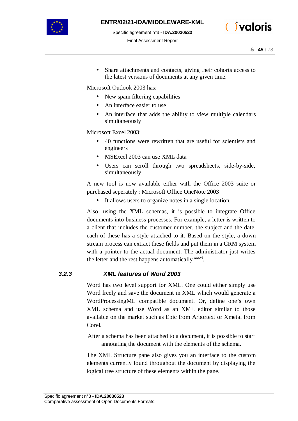



• Share attachments and contacts, giving their cohorts access to the latest versions of documents at any given time.

Microsoft Outlook 2003 has:

- New spam filtering capabilities
- An interface easier to use
- An interface that adds the ability to view multiple calendars simultaneously

Microsoft Excel 2003:

- 40 functions were rewritten that are useful for scientists and engineers
- MSExcel 2003 can use XML data
- Users can scroll through two spreadsheets, side-by-side, simultaneously

A new tool is now available either with the Office 2003 suite or purchased seperately : Microsoft Office OneNote 2003

• It allows users to organize notes in a single location.

Also, using the XML schemas, it is possible to integrate Office documents into business processes. For example, a letter is written to a client that includes the customer number, the subject and the date, each of these has a style attached to it. Based on the style, a down stream process can extract these fields and put them in a CRM system with a pointer to the actual document. The administrator just writes the letter and the rest happens automatically xxxvi.

## *3.2.3 XML features of Word 2003*

Word has two level support for XML. One could either simply use Word freely and save the document in XML which would generate a WordProcessingML compatible document. Or, define one's own XML schema and use Word as an XML editor similar to those available on the market such as Epic from Arbortext or Xmetal from Corel.

After a schema has been attached to a document, it is possible to start annotating the document with the elements of the schema.

The XML Structure pane also gives you an interface to the custom elements currently found throughout the document by displaying the logical tree structure of these elements within the pane.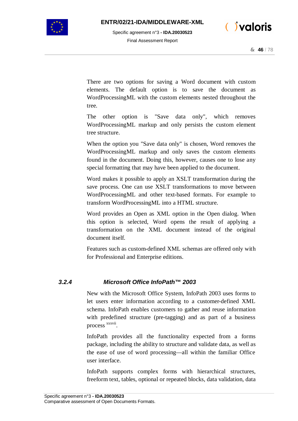

Specific agreement n°3 **- IDA.20030523**  Final Assessment Report



There are two options for saving a Word document with custom elements. The default option is to save the document as WordProcessingML with the custom elements nested throughout the tree.

The other option is "Save data only", which removes WordProcessingML markup and only persists the custom element tree structure.

When the option you "Save data only" is chosen, Word removes the WordProcessingML markup and only saves the custom elements found in the document. Doing this, however, causes one to lose any special formatting that may have been applied to the document.

Word makes it possible to apply an XSLT transformation during the save process. One can use XSLT transformations to move between WordProcessingML and other text-based formats. For example to transform WordProcessingML into a HTML structure.

Word provides an Open as XML option in the Open dialog. When this option is selected, Word opens the result of applying a transformation on the XML document instead of the original document itself.

Features such as custom-defined XML schemas are offered only with for Professional and Enterprise editions.

## *3.2.4 Microsoft Office InfoPath™ 2003*

New with the Microsoft Office System, InfoPath 2003 uses forms to let users enter information according to a customer-defined XML schema. InfoPath enables customers to gather and reuse information with predefined structure (pre-tagging) and as part of a business process<sup>xxxvii</sup>.

InfoPath provides all the functionality expected from a forms package, including the ability to structure and validate data, as well as the ease of use of word processing—all within the familiar Office user interface.

InfoPath supports complex forms with hierarchical structures, freeform text, tables, optional or repeated blocks, data validation, data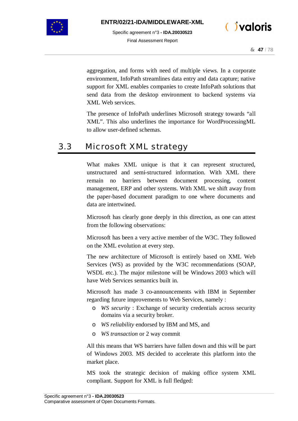



aggregation, and forms with need of multiple views. In a corporate environment, InfoPath streamlines data entry and data capture; native support for XML enables companies to create InfoPath solutions that send data from the desktop environment to backend systems via XML Web services.

The presence of InfoPath underlines Microsoft strategy towards "all XML". This also underlines the importance for WordProcessingML to allow user-defined schemas.

# 3.3 Microsoft XML strategy

What makes XML unique is that it can represent structured, unstructured and semi-structured information. With XML there remain no barriers between document processing, content management, ERP and other systems. With XML we shift away from the paper-based document paradigm to one where documents and data are intertwined.

Microsoft has clearly gone deeply in this direction, as one can attest from the following observations:

Microsoft has been a very active member of the W3C. They followed on the XML evolution at every step.

The new architecture of Microsoft is entirely based on XML Web Services (WS) as provided by the W3C recommendations (SOAP, WSDL etc.). The major milestone will be Windows 2003 which will have Web Services semantics built in.

Microsoft has made 3 co-announcements with IBM in September regarding future improvements to Web Services, namely :

- o *WS security* : Exchange of security credentials across security domains via a security broker.
- o *WS reliability* endorsed by IBM and MS, and
- o *WS transaction* or 2 way commit

All this means that WS barriers have fallen down and this will be part of Windows 2003. MS decided to accelerate this platform into the market place.

MS took the strategic decision of making office system XML compliant. Support for XML is full fledged: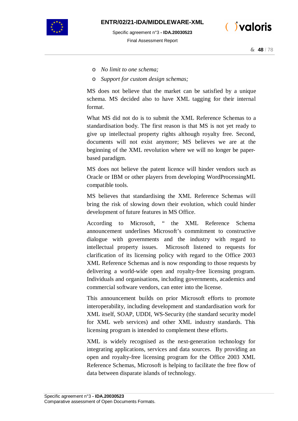



o *No limit to one schema;*

#### o *Support for custom design schemas;*

MS does not believe that the market can be satisfied by a unique schema. MS decided also to have XML tagging for their internal format.

What MS did not do is to submit the XML Reference Schemas to a standardisation body. The first reason is that MS is not yet ready to give up intellectual property rights although royalty free. Second, documents will not exist anymore; MS believes we are at the beginning of the XML revolution where we will no longer be paperbased paradigm.

MS does not believe the patent licence will hinder vendors such as Oracle or IBM or other players from developing WordProcessingML compatible tools.

MS believes that standardising the XML Reference Schemas will bring the risk of slowing down their evolution, which could hinder development of future features in MS Office.

According to Microsoft, " the XML Reference Schema announcement underlines Microsoft's commitment to constructive dialogue with governments and the industry with regard to intellectual property issues. Microsoft listened to requests for clarification of its licensing policy with regard to the Office 2003 XML Reference Schemas and is now responding to those requests by delivering a world-wide open and royalty-free licensing program. Individuals and organisations, including governments, academics and commercial software vendors, can enter into the license.

This announcement builds on prior Microsoft efforts to promote interoperability, including development and standardisation work for XML itself, SOAP, UDDI, WS-Security (the standard security model for XML web services) and other XML industry standards. This licensing program is intended to complement these efforts.

XML is widely recognised as the next-generation technology for integrating applications, services and data sources. By providing an open and royalty-free licensing program for the Office 2003 XML Reference Schemas, Microsoft is helping to facilitate the free flow of data between disparate islands of technology.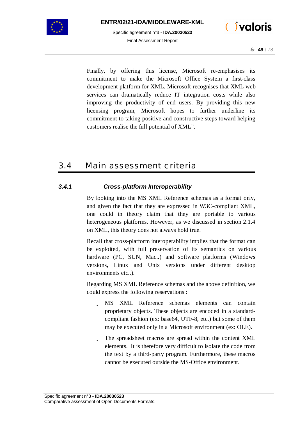



Finally, by offering this license, Microsoft re-emphasises its commitment to make the Microsoft Office System a first-class development platform for XML. Microsoft recognises that XML web services can dramatically reduce IT integration costs while also improving the productivity of end users. By providing this new licensing program, Microsoft hopes to further underline its commitment to taking positive and constructive steps toward helping customers realise the full potential of XML".

# 3.4 Main assessment criteria

## *3.4.1 Cross-platform Interoperability*

By looking into the MS XML Reference schemas as a format only, and given the fact that they are expressed in W3C-compliant XML, one could in theory claim that they are portable to various heterogeneous platforms. However, as we discussed in section 2.1.4 on XML, this theory does not always hold true.

Recall that cross-platform interoperability implies that the format can be exploited, with full preservation of its semantics on various hardware (PC, SUN, Mac..) and software platforms (Windows versions, Linux and Unix versions under different desktop environments etc..).

Regarding MS XML Reference schemas and the above definition, we could express the following reservations :

- ü MS XML Reference schemas elements can contain proprietary objects. These objects are encoded in a standardcompliant fashion (ex: base64, UTF-8, etc.) but some of them may be executed only in a Microsoft environment (ex: OLE).
- ü The spreadsheet macros are spread within the content XML elements. It is therefore very difficult to isolate the code from the text by a third-party program. Furthermore, these macros cannot be executed outside the MS-Office environment.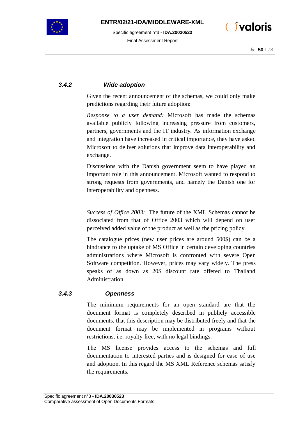

Specific agreement n°3 **- IDA.20030523** 

( ) valoris

Final Assessment Report

## *3.4.2 Wide adoption*

Given the recent announcement of the schemas, we could only make predictions regarding their future adoption:

*Response to a user demand:* Microsoft has made the schemas available publicly following increasing pressure from customers, partners, governments and the IT industry. As information exchange and integration have increased in critical importance, they have asked Microsoft to deliver solutions that improve data interoperability and exchange.

Discussions with the Danish government seem to have played an important role in this announcement. Microsoft wanted to respond to strong requests from governments, and namely the Danish one for interoperability and openness.

*Success of Office 2003:* The future of the XML Schemas cannot be dissociated from that of Office 2003 which will depend on user perceived added value of the product as well as the pricing policy.

The catalogue prices (new user prices are around 500\$) can be a hindrance to the uptake of MS Office in certain developing countries administrations where Microsoft is confronted with severe Open Software competition. However, prices may vary widely. The press speaks of as down as 20\$ discount rate offered to Thailand Administration.

## *3.4.3 Openness*

The minimum requirements for an open standard are that the document format is completely described in publicly accessible documents, that this description may be distributed freely and that the document format may be implemented in programs without restrictions, i.e. royalty-free, with no legal bindings.

The MS license provides access to the schemas and full documentation to interested parties and is designed for ease of use and adoption. In this regard the MS XML Reference schemas satisfy the requirements.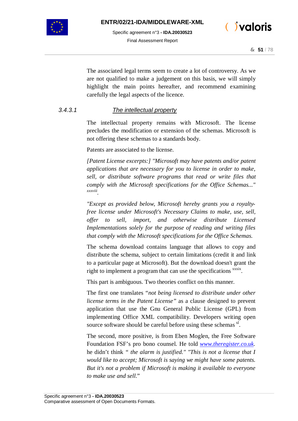



The associated legal terms seem to create a lot of controversy. As we are not qualified to make a judgement on this basis, we will simply highlight the main points hereafter, and recommend examining carefully the legal aspects of the licence.

## *3.4.3.1 The intellectual property*

The intellectual property remains with Microsoft. The license precludes the modification or extension of the schemas. Microsoft is not offering these schemas to a standards body.

Patents are associated to the license.

*[Patent License excerpts:] "Microsoft may have patents and/or patent applications that are necessary for you to license in order to make, sell, or distribute software programs that read or write files that comply with the Microsoft specifications for the Office Schemas..." xxxviii .*

*"Except as provided below, Microsoft hereby grants you a royaltyfree license under Microsoft's Necessary Claims to make, use, sell, offer to sell, import, and otherwise distribute Licensed Implementations solely for the purpose of reading and writing files that comply with the Microsoft specifications for the Office Schemas.*

The schema download contains language that allows to copy and distribute the schema, subject to certain limitations (credit it and link to a particular page at Microsoft). But the download doesn't grant the right to implement a program that can use the specifications xxxix.

This part is ambiguous. Two theories conflict on this manner.

The first one translates *"not being licensed to distribute under other license terms in the Patent License"* as a clause designed to prevent application that use the Gnu General Public License (GPL) from implementing Office XML compatibility. Developers writing open source software should be careful before using these schemas  $x<sup>1</sup>$ .

The second, more positive, is from Eben Moglen, the Free Software Foundation FSF's pro bono counsel. He told *www.theregister.co.uk*. he didn't think *" the alarm is justified." "This is not a license that I would like to accept; Microsoft is saying we might have some patents. But it's not a problem if Microsoft is making it available to everyone to make use and sell*."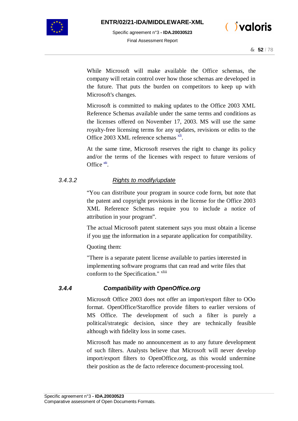



While Microsoft will make available the Office schemas, the company will retain control over how those schemas are developed in the future. That puts the burden on competitors to keep up with Microsoft's changes.

Microsoft is committed to making updates to the Office 2003 XML Reference Schemas available under the same terms and conditions as the licenses offered on November 17, 2003. MS will use the same royalty-free licensing terms for any updates, revisions or edits to the Office 2003 XML reference schemas <sup>xli</sup>.

At the same time, Microsoft reserves the right to change its policy and/or the terms of the licenses with respect to future versions of Office xlii.

## *3.4.3.2 Rights to modify/update*

"You can distribute your program in source code form, but note that the patent and copyright provisions in the license for the Office 2003 XML Reference Schemas require you to include a notice of attribution in your program".

The actual Microsoft patent statement says you must obtain a license if you use the information in a separate application for compatibility.

Quoting them:

"There is a separate patent license available to parties interested in implementing software programs that can read and write files that conform to the Specification." <sup>xliii</sup>

## *3.4.4 Compatibility with OpenOffice.org*

Microsoft Office 2003 does not offer an import/export filter to OOo format. OpenOffice/Staroffice provide filters to earlier versions of MS Office. The development of such a filter is purely a political/strategic decision, since they are technically feasible although with fidelity loss in some cases.

Microsoft has made no announcement as to any future development of such filters. Analysts believe that Microsoft will never develop import/export filters to OpenOffice.org, as this would undermine their position as the de facto reference document-processing tool.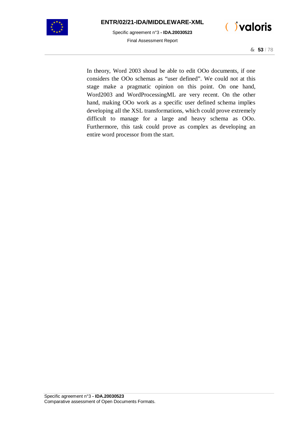

Specific agreement n°3 **- IDA.20030523**  Final Assessment Report



**& 53 /** 78

In theory, Word 2003 shoud be able to edit OOo documents, if one considers the OOo schemas as "user defined". We could not at this stage make a pragmatic opinion on this point. On one hand, Word2003 and WordProcessingML are very recent. On the other hand, making OOo work as a specific user defined schema implies developing all the XSL transformations, which could prove extremely difficult to manage for a large and heavy schema as OOo. Furthermore, this task could prove as complex as developing an entire word processor from the start.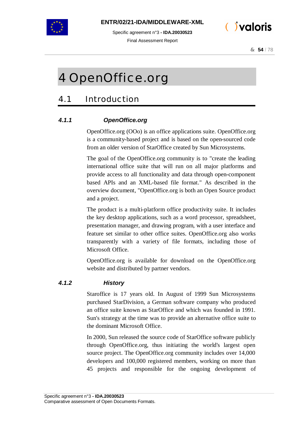

Specific agreement n°3 **- IDA.20030523**  Final Assessment Report



# 4 OpenOffice.org

# 4.1 Introduction

## *4.1.1 OpenOffice.org*

OpenOffice.org (OOo) is an office applications suite. OpenOffice.org is a community-based project and is based on the open-sourced code from an older version of StarOffice created by Sun Microsystems.

The goal of the OpenOffice.org community is to "create the leading international office suite that will run on all major platforms and provide access to all functionality and data through open-component based APIs and an XML-based file format." As described in the overview document, "OpenOffice.org is both an Open Source product and a project.

The product is a multi-platform office productivity suite. It includes the key desktop applications, such as a word processor, spreadsheet, presentation manager, and drawing program, with a user interface and feature set similar to other office suites. OpenOffice.org also works transparently with a variety of file formats, including those of Microsoft Office.

OpenOffice.org is available for download on the OpenOffice.org website and distributed by partner vendors.

## *4.1.2 History*

Staroffice is 17 years old. In August of 1999 Sun Microsystems purchased StarDivision, a German software company who produced an office suite known as StarOffice and which was founded in 1991. Sun's strategy at the time was to provide an alternative office suite to the dominant Microsoft Office.

In 2000, Sun released the source code of StarOffice software publicly through OpenOffice.org, thus initiating the world's largest open source project. The OpenOffice.org community includes over 14,000 developers and 100,000 registered members, working on more than 45 projects and responsible for the ongoing development of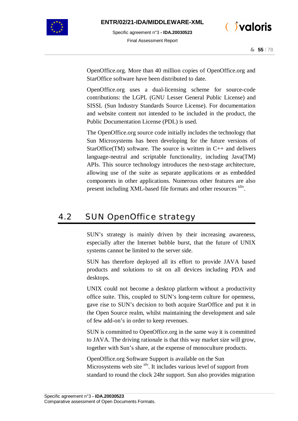



OpenOffice.org. More than 40 million copies of OpenOffice.org and StarOffice software have been distributed to date.

OpenOffice.org uses a dual-licensing scheme for source-code contributions: the LGPL (GNU Lesser General Public License) and SISSL (Sun Industry Standards Source License). For documentation and website content not intended to be included in the product, the Public Documentation License (PDL) is used.

The OpenOffice.org source code initially includes the technology that Sun Microsystems has been developing for the future versions of StarOffice(TM) software. The source is written in C++ and delivers language-neutral and scriptable functionality, including Java(TM) APIs. This source technology introduces the next-stage architecture, allowing use of the suite as separate applications or as embedded components in other applications. Numerous other features are also present including XML-based file formats and other resources <sup>xliv</sup>.

# 4.2 SUN OpenOffice strategy

SUN's strategy is mainly driven by their increasing awareness, especially after the Internet bubble burst, that the future of UNIX systems cannot be limited to the server side.

SUN has therefore deployed all its effort to provide JAVA based products and solutions to sit on all devices including PDA and desktops.

UNIX could not become a desktop platform without a productivity office suite. This, coupled to SUN's long-term culture for openness, gave rise to SUN's decision to both acquire StarOffice and put it in the Open Source realm, whilst maintaining the development and sale of few add-on's in order to keep revenues.

SUN is committed to OpenOffice.org in the same way it is committed to JAVA. The driving rationale is that this way market size will grow, together with Sun's share, at the expense of monoculture products.

OpenOffice.org Software Support is available on the Sun Microsystems web site  $x^{\text{lv}}$ . It includes various level of support from standard to round the clock 24hr support. Sun also provides migration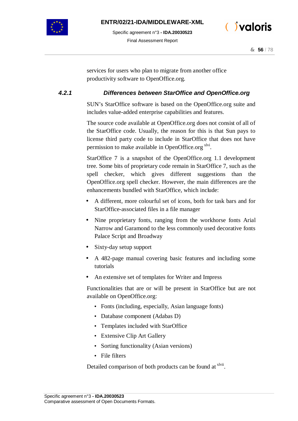



services for users who plan to migrate from another office productivity software to OpenOffice.org.

## *4.2.1 Differences between StarOffice and OpenOffice.org*

SUN's StarOffice software is based on the OpenOffice.org suite and includes value-added enterprise capabilities and features.

The source code available at OpenOffice.org does not consist of all of the StarOffice code. Usually, the reason for this is that Sun pays to license third party code to include in StarOffice that does not have permission to make available in OpenOffice.org xlvi.

StarOffice 7 is a snapshot of the OpenOffice.org 1.1 development tree. Some bits of proprietary code remain in StarOffice 7, such as the spell checker, which gives different suggestions than the OpenOffice.org spell checker. However, the main differences are the enhancements bundled with StarOffice, which include:

- A different, more colourful set of icons, both for task bars and for StarOffice-associated files in a file manager
- Nine proprietary fonts, ranging from the workhorse fonts Arial Narrow and Garamond to the less commonly used decorative fonts Palace Script and Broadway
- Sixty-day setup support
- A 482-page manual covering basic features and including some tutorials
- An extensive set of templates for Writer and Impress

Functionalities that are or will be present in StarOffice but are not available on OpenOffice.org:

- Fonts (including, especially, Asian language fonts)
- Database component (Adabas D)
- Templates included with StarOffice
- Extensive Clip Art Gallery
- Sorting functionality (Asian versions)
- File filters

Detailed comparison of both products can be found at <sup>xlvii</sup>.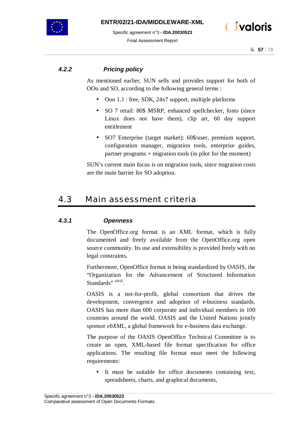



**& 57 /** 78

## *4.2.2 Pricing policy*

As mentioned earlier, SUN sells and provides support for both of OOo and SO, according to the following general terms :

- Ooo 1.1 : free, SDK, 24x7 support, multiple platforms
- SO 7 retail: 80\$ MSRP, enhanced spellchecker, fonts (since Linux does not have them), clip art, 60 day support entitlement
- SO7 Enterprise (target market): 60\$/user, premium support, configuration manager, migration tools, enterprise guides, partner programs + migration tools (in pilot for the moment)

SUN's current main focus is on migration tools, since migration costs are the main barrier for SO adoption.

# 4.3 Main assessment criteria

## *4.3.1 Openness*

The OpenOffice.org format is an XML format, which is fully documented and freely available from the OpenOffice.org open source community. Its use and extensibility is provided freely with no legal constraints.

Furthermore, OpenOffice format is being standardized by OASIS, the "Organization for the Advancement of Structured Information Standards" xlviii.

OASIS is a not-for-profit, global consortium that drives the development, convergence and adoption of e-business standards. OASIS has more than 600 corporate and individual members in 100 countries around the world. OASIS and the United Nations jointly sponsor *ebXML*, a global framework for e-business data exchange.

The purpose of the OASIS OpenOffice Technical Committee is to create an open, XML-based file format specification for office applications. The resulting file format must meet the following requirements:

• It must be suitable for office documents containing text, spreadsheets, charts, and graphical documents,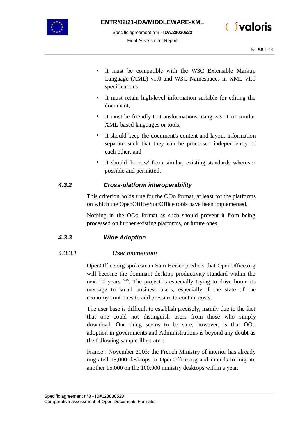



- It must be compatible with the W3C Extensible Markup Language (XML) v1.0 and W3C Namespaces in XML v1.0 specifications,
- It must retain high-level information suitable for editing the document,
- It must be friendly to transformations using XSLT or similar XML-based languages or tools,
- It should keep the document's content and layout information separate such that they can be processed independently of each other, and
- It should 'borrow' from similar, existing standards wherever possible and permitted.

#### *4.3.2 Cross-platform interoperability*

This criterion holds true for the OOo format, at least for the platforms on which the OpenOffice/StarOffice tools have been implemented.

Nothing in the OOo format as such should prevent it from being processed on further existing platforms, or future ones.

## *4.3.3 Wide Adoption*

#### *4.3.3.1 User momentum*

OpenOffice.org spokesman Sam Heiser predicts that OpenOffice.org will become the dominant desktop productivity standard within the next 10 years  $x$ <sup>lix</sup>. The project is especially trying to drive home its message to small business users, especially if the state of the economy continues to add pressure to contain costs.

The user base is difficult to establish precisely, mainly due to the fact that one could not distinguish users from those who simply download. One thing seems to be sure, however, is that OOo adoption in governments and Administrations is beyond any doubt as the following sample illustrate  $\frac{1}{1}$ :

France : November 2003: the French Ministry of interior has already migrated 15,000 desktops to OpenOffice.org and intends to migrate another 15,000 on the 100,000 ministry desktops within a year.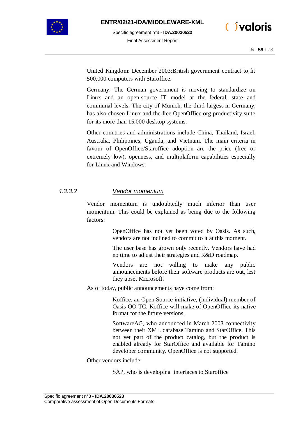



United Kingdom: December 2003:British government contract to fit 500,000 computers with Staroffice.

Germany: The German government is moving to standardize on Linux and an open-source IT model at the federal, state and communal levels. The city of Munich, the third largest in Germany, has also chosen Linux and the free OpenOffice.org productivity suite for its more than 15,000 desktop systems.

Other countries and administrations include China, Thailand, Israel, Australia, Philippines, Uganda, and Vietnam. The main criteria in favour of OpenOffice/Staroffice adoption are the price (free or extremely low), openness, and multiplaform capabilities especially for Linux and Windows.

#### *4.3.3.2 Vendor momentum*

Vendor momentum is undoubtedly much inferior than user momentum. This could be explained as being due to the following factors:

> OpenOffice has not yet been voted by Oasis. As such, vendors are not inclined to commit to it at this moment.

> The user base has grown only recently. Vendors have had no time to adjust their strategies and R&D roadmap.

> Vendors are not willing to make any public announcements before their software products are out, lest they upset Microsoft.

As of today, public announcements have come from:

Koffice, an Open Source initiative, (individual) member of Oasis OO TC. Koffice will make of OpenOffice its native format for the future versions.

SoftwareAG, who announced in March 2003 connectivity between their XML database Tamino and StarOffice. This not yet part of the product catalog, but the product is enabled already for StarOffice and available for Tamino developer community. OpenOffice is not supported.

Other vendors include:

SAP, who is developing interfaces to Staroffice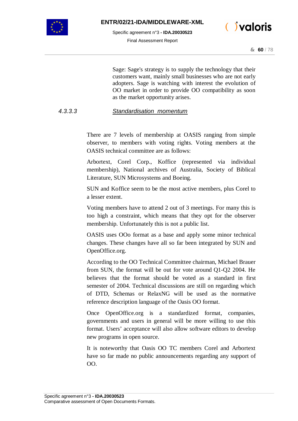



Sage: Sage's strategy is to supply the technology that their customers want, mainly small businesses who are not early adopters. Sage is watching with interest the evolution of OO market in order to provide OO compatibility as soon as the market opportunity arises.

#### *4.3.3.3 Standardisation momentum*

There are 7 levels of membership at OASIS ranging from simple observer, to members with voting rights. Voting members at the OASIS technical committee are as follows:

Arbortext, Corel Corp., Koffice (represented via individual membership), National archives of Australia, Society of Biblical Literature, SUN Microsystems and Boeing.

SUN and Koffice seem to be the most active members, plus Corel to a lesser extent.

Voting members have to attend 2 out of 3 meetings. For many this is too high a constraint, which means that they opt for the observer membership. Unfortunately this is not a public list.

OASIS uses OOo format as a base and apply some minor technical changes. These changes have all so far been integrated by SUN and OpenOffice.org.

According to the OO Technical Committee chairman, Michael Brauer from SUN, the format will be out for vote around Q1-Q2 2004. He believes that the format should be voted as a standard in first semester of 2004. Technical discussions are still on regarding which of DTD, Schemas or RelaxNG will be used as the normative reference description language of the Oasis OO format.

Once OpenOffice.org is a standardized format, companies, governments and users in general will be more willing to use this format. Users' acceptance will also allow software editors to develop new programs in open source.

It is noteworthy that Oasis OO TC members Corel and Arbortext have so far made no public announcements regarding any support of OO.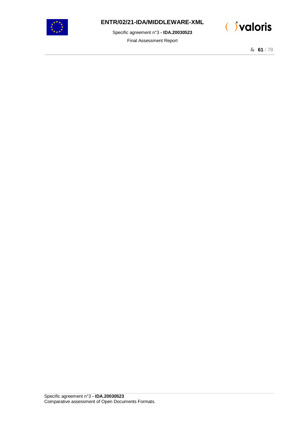

Specific agreement n°3 **- IDA.20030523**  Final Assessment Report



**& 61 /** 78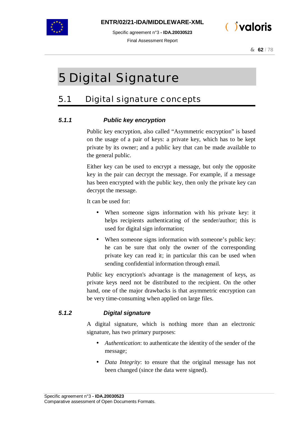

Specific agreement n°3 **- IDA.20030523**  Final Assessment Report



**& 62 /** 78

# 5 Digital Signature

# 5.1 Digital signature concepts

## *5.1.1 Public key encryption*

Public key encryption, also called "Asymmetric encryption" is based on the usage of a pair of keys: a private key, which has to be kept private by its owner; and a public key that can be made available to the general public.

Either key can be used to encrypt a message, but only the opposite key in the pair can decrypt the message. For example, if a message has been encrypted with the public key, then only the private key can decrypt the message.

It can be used for:

- When someone signs information with his private key: it helps recipients authenticating of the sender/author; this is used for digital sign information;
- When someone signs information with someone's public key: he can be sure that only the owner of the corresponding private key can read it; in particular this can be used when sending confidential information through email.

Public key encryption's advantage is the management of keys, as private keys need not be distributed to the recipient. On the other hand, one of the major drawbacks is that asymmetric encryption can be very time-consuming when applied on large files.

## *5.1.2 Digital signature*

A digital signature, which is nothing more than an electronic signature, has two primary purposes:

- *Authentication*: to authenticate the identity of the sender of the message;
- *Data Integrity*: to ensure that the original message has not been changed (since the data were signed).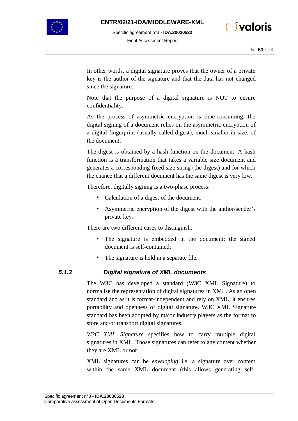



In other words, a digital signature proves that the owner of a private key is the author of the signature and that the data has not changed since the signature.

Note that the purpose of a digital signature is NOT to ensure confidentiality.

As the process of asymmetric encryption is time-consuming, the digital signing of a document relies on the asymmetric encryption of a digital fingerprint (usually called digest), much smaller in size, of the document.

The digest is obtained by a hash function on the document. A hash function is a transformation that takes a variable size document and generates a corresponding fixed-size string (the digest) and for which the chance that a different document has the same digest is very low.

Therefore, digitally signing is a two-phase process:

- Calculation of a digest of the document;
- Asymmetric encryption of the digest with the author/sender's private key.

There are two different cases to distinguish:

- The signature is embedded in the document; the signed document is self-contained;
- The signature is held in a separate file.

#### *5.1.3 Digital signature of XML documents*

The W3C has developed a standard (W3C XML Signature) to normalise the representation of digital signatures in XML. As an open standard and as it is format-independent and rely on XML, it ensures portability and openness of digital signature. W3C XML Signature standard has been adopted by major industry players as the format to store and/or transport digital signatures.

*W3C XML Signature* specifies how to carry multiple digital signatures in XML. Those signatures can refer to any content whether they are XML or not.

XML signatures can be *enveloping* i.e. a signature over content within the same XML document (this allows generating self-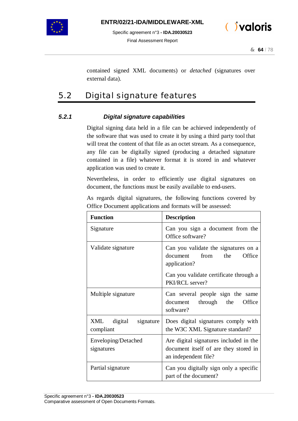



contained signed XML documents) or *detached* (signatures over external data).

# 5.2 Digital signature features

## *5.2.1 Digital signature capabilities*

Digital signing data held in a file can be achieved independently of the software that was used to create it by using a third party tool that will treat the content of that file as an octet stream. As a consequence, any file can be digitally signed (producing a detached signature contained in a file) whatever format it is stored in and whatever application was used to create it.

Nevertheless, in order to efficiently use digital signatures on document, the functions must be easily available to end-users.

| <b>Function</b>                    | <b>Description</b>                                                                                      |  |  |
|------------------------------------|---------------------------------------------------------------------------------------------------------|--|--|
| Signature                          | Can you sign a document from the<br>Office software?                                                    |  |  |
| Validate signature                 | Can you validate the signatures on a<br>document from the<br>Office<br>application?                     |  |  |
|                                    | Can you validate certificate through a<br>PKI/RCL server?                                               |  |  |
| Multiple signature                 | Can several people sign the same<br>Office<br>through the<br>document<br>software?                      |  |  |
| XML digital signature<br>compliant | Does digital signatures comply with<br>the W3C XML Signature standard?                                  |  |  |
| Enveloping/Detached<br>signatures  | Are digital signatures included in the<br>document itself of are they stored in<br>an independent file? |  |  |
| Partial signature                  | Can you digitally sign only a specific<br>part of the document?                                         |  |  |

As regards digital signatures, the following functions covered by Office Document applications and formats will be assessed: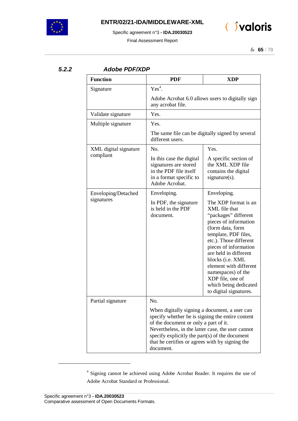

Specific agreement n°3 **- IDA.20030523** 

Final Assessment Report



**& 65 /** 78

| AUUDE FDF/ADF         |                                                                                                                                                                                                                                                                                                                          |                                                                                                                                                                                                                                                                                                                                                           |  |
|-----------------------|--------------------------------------------------------------------------------------------------------------------------------------------------------------------------------------------------------------------------------------------------------------------------------------------------------------------------|-----------------------------------------------------------------------------------------------------------------------------------------------------------------------------------------------------------------------------------------------------------------------------------------------------------------------------------------------------------|--|
| <b>Function</b>       | <b>PDF</b>                                                                                                                                                                                                                                                                                                               | XDP                                                                                                                                                                                                                                                                                                                                                       |  |
| Signature             | $Yes4$ .<br>any acrobat file.                                                                                                                                                                                                                                                                                            | Adobe Acrobat 6.0 allows users to digitally sign                                                                                                                                                                                                                                                                                                          |  |
| Validate signature    | Yes.                                                                                                                                                                                                                                                                                                                     |                                                                                                                                                                                                                                                                                                                                                           |  |
| Multiple signature    | Yes.                                                                                                                                                                                                                                                                                                                     |                                                                                                                                                                                                                                                                                                                                                           |  |
|                       | different users.                                                                                                                                                                                                                                                                                                         | The same file can be digitally signed by several                                                                                                                                                                                                                                                                                                          |  |
| XML digital signature | No.                                                                                                                                                                                                                                                                                                                      | Yes.                                                                                                                                                                                                                                                                                                                                                      |  |
| compliant             | In this case the digital<br>signatures are stored<br>in the PDF file itself<br>in a format specific to<br>Adobe Acrobat.                                                                                                                                                                                                 | A specific section of<br>the XML XDP file<br>contains the digital<br>$signature(s)$ .                                                                                                                                                                                                                                                                     |  |
| Enveloping/Detached   | Enveloping.                                                                                                                                                                                                                                                                                                              | Enveloping.                                                                                                                                                                                                                                                                                                                                               |  |
| signatures            | In PDF, the signature<br>is held in the PDF<br>document.                                                                                                                                                                                                                                                                 | The XDP format is an<br>XML file that<br>"packages" different<br>pieces of information<br>(form data, form<br>template, PDF files,<br>etc.). Those different<br>pieces of information<br>are held in different<br>blocks (i.e. XML<br>element with different<br>namespaces) of the<br>XDP file, one of<br>which being dedicated<br>to digital signatures. |  |
| Partial signature     | No.<br>When digitally signing a document, a user can<br>specify whether he is signing the entire content<br>of the document or only a part of it.<br>Nevertheless, in the latter case, the user cannot<br>specify explicitly the part(s) of the document<br>that he certifies or agrees with by signing the<br>document. |                                                                                                                                                                                                                                                                                                                                                           |  |

## *5.2.2 Adobe PDF/XDP*

 $\overline{a}$ 

<sup>&</sup>lt;sup>4</sup> Signing cannot be achieved using Adobe Acrobat Reader. It requires the use of Adobe Acrobat Standard or Professional.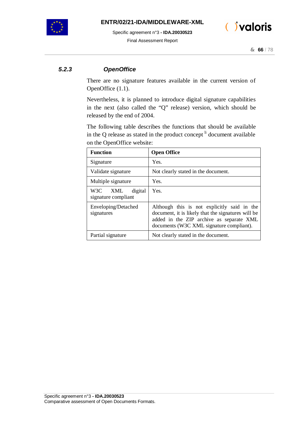





## *5.2.3 OpenOffice*

There are no signature features available in the current version of OpenOffice (1.1).

Nevertheless, it is planned to introduce digital signature capabilities in the next (also called the "Q" release) version, which should be released by the end of 2004.

The following table describes the functions that should be available in the  $Q$  release as stated in the product concept  $\mathbf{h}$  document available on the OpenOffice website:

| <b>Function</b>                           | <b>Open Office</b>                                                                                                                                                                        |  |  |
|-------------------------------------------|-------------------------------------------------------------------------------------------------------------------------------------------------------------------------------------------|--|--|
| Signature                                 | Yes.                                                                                                                                                                                      |  |  |
| Validate signature                        | Not clearly stated in the document.                                                                                                                                                       |  |  |
| Multiple signature                        | Yes.                                                                                                                                                                                      |  |  |
| W3C XML<br>digital<br>signature compliant | Yes.                                                                                                                                                                                      |  |  |
| Enveloping/Detached<br>signatures         | Although this is not explicitly said in the<br>document, it is likely that the signatures will be<br>added in the ZIP archive as separate XML<br>documents (W3C XML signature compliant). |  |  |
| Partial signature                         | Not clearly stated in the document.                                                                                                                                                       |  |  |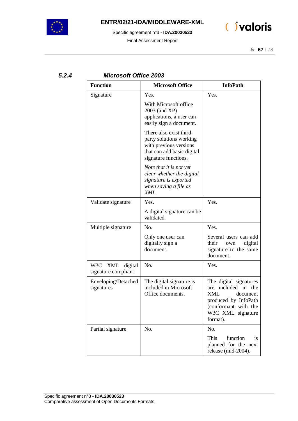

Specific agreement n°3 **- IDA.20030523** 

Final Assessment Report



## *5.2.4 Microsoft Office 2003*

| <b>Function</b>                           | <b>Microsoft Office</b>                                                                                                            | <b>InfoPath</b>                                                                                                                                          |
|-------------------------------------------|------------------------------------------------------------------------------------------------------------------------------------|----------------------------------------------------------------------------------------------------------------------------------------------------------|
| Signature                                 | Yes.                                                                                                                               | Yes.                                                                                                                                                     |
|                                           | With Microsoft office<br>2003 (and XP)<br>applications, a user can<br>easily sign a document.                                      |                                                                                                                                                          |
|                                           | There also exist third-<br>party solutions working<br>with previous versions<br>that can add basic digital<br>signature functions. |                                                                                                                                                          |
|                                           | Note that it is not yet<br>clear whether the digital<br>signature is exported<br>when saving a file as<br>XML.                     |                                                                                                                                                          |
| Validate signature                        | Yes.                                                                                                                               | Yes.                                                                                                                                                     |
|                                           | A digital signature can be<br>validated.                                                                                           |                                                                                                                                                          |
| Multiple signature                        | No.                                                                                                                                | Yes.                                                                                                                                                     |
|                                           | Only one user can<br>digitally sign a<br>document.                                                                                 | Several users can add<br>their<br>digital<br>own<br>signature to the same<br>document.                                                                   |
| W3C<br>XML digital<br>signature compliant | No.                                                                                                                                | Yes.                                                                                                                                                     |
| Enveloping/Detached<br>signatures         | The digital signature is<br>included in Microsoft<br>Office documents.                                                             | The digital signatures<br>are included in the<br><b>XML</b><br>document<br>produced by InfoPath<br>(conformant with the<br>W3C XML signature<br>format). |
| Partial signature                         | No.                                                                                                                                | No.                                                                                                                                                      |
|                                           |                                                                                                                                    | function<br>This<br>is<br>planned for the next<br>release (mid-2004).                                                                                    |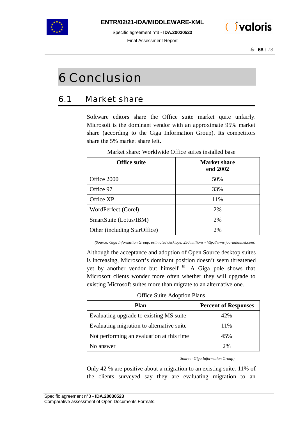

Specific agreement n°3 **- IDA.20030523**  Final Assessment Report



**& 68 /** 78

# 6 Conclusion

# 6.1 Market share

Software editors share the Office suite market quite unfairly. Microsoft is the dominant vendor with an approximate 95% market share (according to the Giga Information Group). Its competitors share the 5% market share left.

| <b>Office suite</b>          | <b>Market share</b><br>end 2002 |
|------------------------------|---------------------------------|
| Office 2000                  | 50%                             |
| Office 97                    | 33%                             |
| Office XP                    | 11%                             |
| WordPerfect (Corel)          | 2%                              |
| SmartSuite (Lotus/IBM)       | 2%                              |
| Other (including StarOffice) | 2%                              |

Market share: Worldwide Office suites installed base

*(Source: Giga Information Group, estimated desktops: 250 millions - http://www.journaldunet.com)*

Although the acceptance and adoption of Open Source desktop suites is increasing, Microsoft's dominant position doesn't seem threatened yet by another vendor but himself  $\frac{1}{11}$ . A Giga pole shows that Microsoft clients wonder more often whether they will upgrade to existing Microsoft suites more than migrate to an alternative one.

| <b>Office Suite Adoption Plans</b> |  |
|------------------------------------|--|
|------------------------------------|--|

| <b>Plan</b>                               | <b>Percent of Responses</b> |
|-------------------------------------------|-----------------------------|
| Evaluating upgrade to existing MS suite   | 42%                         |
| Evaluating migration to alternative suite | 11%                         |
| Not performing an evaluation at this time | 45%                         |
| No answer                                 | 2%                          |

*Source: Giga Information Group)*

Only 42 % are positive about a migration to an existing suite. 11% of the clients surveyed say they are evaluating migration to an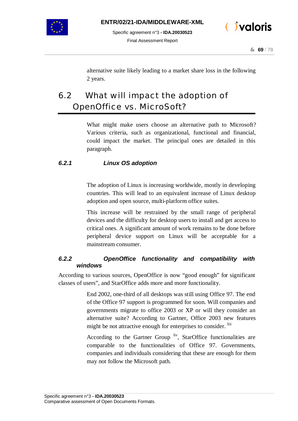



alternative suite likely leading to a market share loss in the following 2 years.

# 6.2 What will impact the adoption of OpenOffice vs. MicroSoft?

What might make users choose an alternative path to Microsoft? Various criteria, such as organizational, functional and financial, could impact the market. The principal ones are detailed in this paragraph.

## *6.2.1 Linux OS adoption*

The adoption of Linux is increasing worldwide, mostly in developing countries. This will lead to an equivalent increase of Linux desktop adoption and open source, multi-platform office suites.

This increase will be restrained by the small range of peripheral devices and the difficulty for desktop users to install and get access to critical ones. A significant amount of work remains to be done before peripheral device support on Linux will be acceptable for a mainstream consumer.

## *6.2.2 OpenOffice functionality and compatibility with windows*

According to various sources, OpenOffice is now "good enough" for significant classes of users", and StarOffice adds more and more functionality.

> End 2002, one-third of all desktops was still using Office 97. The end of the Office 97 support is programmed for soon. Will companies and governments migrate to office 2003 or XP or will they consider an alternative suite? According to Gartner, Office 2003 new features might be not attractive enough for enterprises to consider.  $\frac{1}{111}$

> According to the Gartner Group  $\frac{div}{dx}$ , StarOffice functionalities are comparable to the functionalities of Office 97. Governments, companies and individuals considering that these are enough for them may not follow the Microsoft path.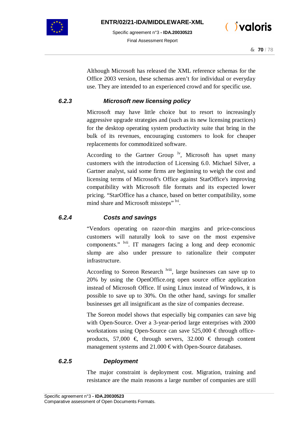

Specific agreement n°3 **- IDA.20030523** 



Although Microsoft has released the XML reference schemas for the Office 2003 version, these schemas aren't for individual or everyday use. They are intended to an experienced crowd and for specific use.

## *6.2.3 Microsoft new licensing policy*

Microsoft may have little choice but to resort to increasingly aggressive upgrade strategies and (such as its new licensing practices) for the desktop operating system productivity suite that bring in the bulk of its revenues, encouraging customers to look for cheaper replacements for commoditized software.

According to the Gartner Group  $\frac{1}{x}$ , Microsoft has upset many customers with the introduction of Licensing 6.0. Michael Silver, a Gartner analyst, said some firms are beginning to weigh the cost and licensing terms of Microsoft's Office against StarOffice's improving compatibility with Microsoft file formats and its expected lower pricing. "StarOffice has a chance, based on better compatibility, some mind share and Microsoft missteps". Ivi.

#### *6.2.4 Costs and savings*

"Vendors operating on razor-thin margins and price-conscious customers will naturally look to save on the most expensive components." <sup>lvii</sup>. IT managers facing a long and deep economic slump are also under pressure to rationalize their computer infrastructure.

According to Soreon Research <sup>lviii</sup>, large businesses can save up to 20% by using the OpenOffice.org open source office application instead of Microsoft Office. If using Linux instead of Windows, it is possible to save up to 30%. On the other hand, savings for smaller businesses get all insignificant as the size of companies decrease.

The Soreon model shows that especially big companies can save big with Open-Source. Over a 3-year-period large enterprises with 2000 workstations using Open-Source can save 525,000 € through officeproducts, 57,000  $\in$  through servers, 32.000  $\in$  through content management systems and 21.000 € with Open-Source databases.

## *6.2.5 Deployment*

The major constraint is deployment cost. Migration, training and resistance are the main reasons a large number of companies are still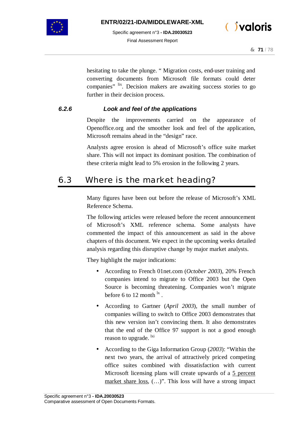



hesitating to take the plunge. " Migration costs, end-user training and converting documents from Microsoft file formats could deter companies" lix. Decision makers are awaiting success stories to go further in their decision process.

## *6.2.6 Look and feel of the applications*

Despite the improvements carried on the appearance of Openoffice.org and the smoother look and feel of the application, Microsoft remains ahead in the "design" race.

Analysts agree erosion is ahead of Microsoft's office suite market share. This will not impact its dominant position. The combination of these criteria might lead to 5% erosion in the following 2 years.

# 6.3 Where is the market heading?

Many figures have been out before the release of Microsoft's XML Reference Schema.

The following articles were released before the recent announcement of Microsoft's XML reference schema. Some analysts have commented the impact of this announcement as said in the above chapters of this document. We expect in the upcoming weeks detailed analysis regarding this disruptive change by major market analysts.

They highlight the major indications:

- According to French 01net.com (*October 2003*), 20% French companies intend to migrate to Office 2003 but the Open Source is becoming threatening. Companies won't migrate before 6 to 12 month  $\mathrm{^{lx}}$ .
- According to Gartner (*April 2003*), the small number of companies willing to switch to Office 2003 demonstrates that this new version isn't convincing them. It also demonstrates that the end of the Office 97 support is not a good enough reason to upgrade.  $\frac{ixi}{ }$
- According to the Giga Information Group (*2003*): "Within the next two years, the arrival of attractively priced competing office suites combined with dissatisfaction with current Microsoft licensing plans will create upwards of a 5 percent market share loss,  $(...)$ ". This loss will have a strong impact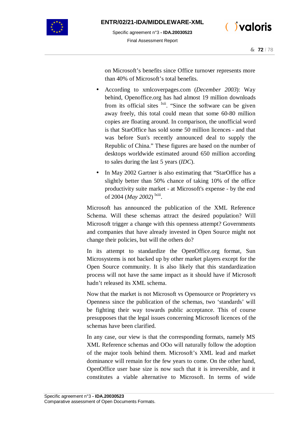



on Microsoft's benefits since Office turnover represents more than 40% of Microsoft's total benefits.

- According to xmlcoverpages.com (*December 2003*): Way behind, Openoffice.org has had almost 19 million downloads from its official sites  $\frac{ixi}{ }$ . "Since the software can be given away freely, this total could mean that some 60-80 million copies are floating around. In comparison, the unofficial word is that StarOffice has sold some 50 million licences - and that was before Sun's recently announced deal to supply the Republic of China." These figures are based on the number of desktops worldwide estimated around 650 million according to sales during the last 5 years (*IDC*).
- In May 2002 Gartner is also estimating that "StarOffice has a slightly better than 50% chance of taking 10% of the office productivity suite market - at Microsoft's expense - by the end of 2004 (*May 2002*) <sup>lxiii</sup>.

Microsoft has announced the publication of the XML Reference Schema. Will these schemas attract the desired population? Will Microsoft trigger a change with this openness attempt? Governments and companies that have already invested in Open Source might not change their policies, but will the others do?

In its attempt to standardize the OpenOffice.org format, Sun Microsystems is not backed up by other market players except for the Open Source community. It is also likely that this standardization process will not have the same impact as it should have if Microsoft hadn't released its XML schema.

Now that the market is not Microsoft vs Opensource or Proprietery vs Openness since the publication of the schemas, two 'standards' will be fighting their way towards public acceptance. This of course presupposes that the legal issues concerning Microsoft licences of the schemas have been clarified.

In any case, our view is that the corresponding formats, namely MS XML Reference schemas and OOo will naturally follow the adoption of the major tools behind them. Microsoft's XML lead and market dominance will remain for the few years to come. On the other hand, OpenOffice user base size is now such that it is irreversible, and it constitutes a viable alternative to Microsoft. In terms of wide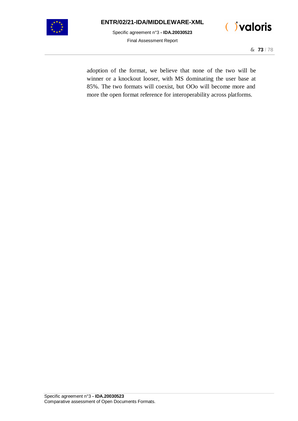

# **ENTR/02/21-IDA/MIDDLEWARE-XML**

Specific agreement n°3 **- IDA.20030523**  Final Assessment Report



**& 73 /** 78

adoption of the format, we believe that none of the two will be winner or a knockout looser, with MS dominating the user base at 85%. The two formats will coexist, but OOo will become more and more the open format reference for interoperability across platforms.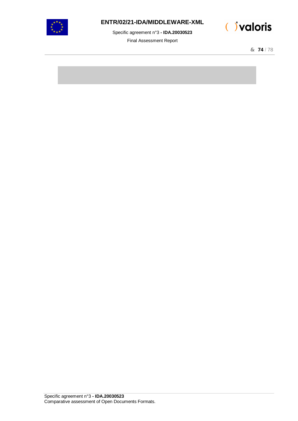

# **ENTR/02/21-IDA/MIDDLEWARE-XML**

Specific agreement n°3 **- IDA.20030523**  Final Assessment Report



**& 74 /** 78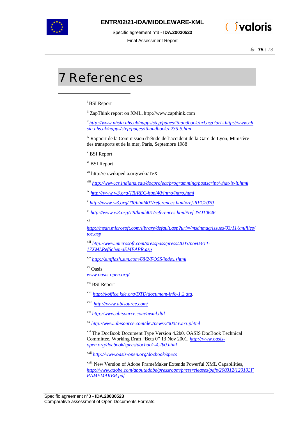

### **ENTR/02/21-IDA/MIDDLEWARE-XML**

Specific agreement n°3 **- IDA.20030523** 

Final Assessment Report



**& 75 /** 78

# 7 References

i BSI Report

ii ZapThink report on XML. http://www.zapthink.com

iii*http://www.nhsia.nhs.uk/napps/step/pages/ithandbook/url.asp?url=http://www.nh sia.nhs.uk/napps/step/pages/ithandbook/h235-5.htm*

iv Rapport de la Commission d'étude de l'accident de la Gare de Lyon, Ministère des transports et de la mer, Paris, Septembre 1988

v BSI Report

vi BSI Report

vii http://en.wikipedia.org/wiki/TeX

viii *http://www.cs.indiana.edu/docproject/programming/postscript/what-is-it.html*

ix *http://www.w3.org/TR/REC-html40/intro/intro.html*

x *http://www.w3.org/TR/html401/references.html#ref-RFC2070*

xi *http://www.w3.org/TR/html401/references.html#ref-ISO10646*

xii

*http://msdn.microsoft.com/library/default.asp?url=/msdnmag/issues/03/11/xmlfiles/ toc.asp*

xiii *http://www.microsoft.com/presspass/press/2003/nov03/11- 17XMLRefSchemaEMEAPR.asp*

xiv *http://sunflash.sun.com/68/2/FOSS/index.shtml*

xv Oasis

*www.oasis-open.org/*

xvi BSI Report

xvii *http://koffice.kde.org/DTD/document-info-1.2.dtd*.

xviii *http://www.abisource.com/*

xix *http://www.abisource.com/awml.dtd*

xx *http://www.abisource.com/dev/news/2000/awn3.phtml*

xxi The DocBook Document Type Version 4.2b0, OASIS DocBook Technical Committee, Working Draft "Beta 0" 13 Nov 2001, *http://www.oasisopen.org/docbook/specs/docbook-4.2b0.html*

xxii *http://www.oasis-open.org/docbook/specs*

xxiii New Version of Adobe FrameMaker Extends Powerful XML Capabilities, *http://www.adobe.com/aboutadobe/pressroom/pressreleases/pdfs/200312/120103F RAMEMAKER.pdf*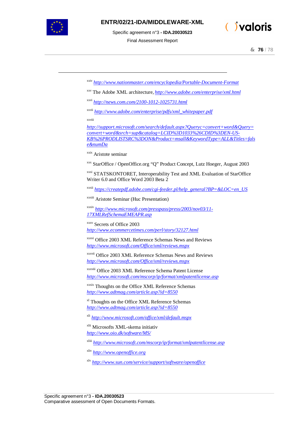

## **ENTR/02/21-IDA/MIDDLEWARE-XML**

Specific agreement n°3 **- IDA.20030523** 

Final Assessment Report



**& 76 /** 78

xxiv *http://www.nationmaster.com/encyclopedia/Portable-Document-Format*

xxv The Adobe XML architecture, *http://www.adobe.com/enterprise/xml.html*

xxvi *http://news.com.com/2100-1012-1025731.html*

xxvii *http://www.adobe.com/enterprise/pdfs/xml\_whitepaper.pdf*

xxviii

*http://support.microsoft.com/search/default.aspx?Queryc=convert+word&Query= convert+word&srch=sup&catalog=LCID%3D1033%26CDID%3DEN-US-KB%26PRODLISTSRC%3DON&Product=msall&KeywordType=ALL&Titles=fals e&numDa*

xxix Aristote seminar

xxx StarOffice / OpenOffice.org "Q" Product Concept, Lutz Hoeger, August 2003

xxxi STATSKONTORET, Interoperability Test and XML Evaluation of StarOffice Writer 6.0 and Office Word 2003 Beta 2

xxxii *https://createpdf.adobe.com/cgi-feeder.pl/help\_general?BP=&LOC=en\_US*

xxxiii Aristote Seminar (Huc Presentation)

xxxiv *http://www.microsoft.com/presspass/press/2003/nov03/11- 17XMLRefSchemaEMEAPR.asp*

xxxv Secrets of Office 2003 *http://www.ecommercetimes.com/perl/story/32127.html*

xxxvi Office 2003 XML Reference Schemas News and Reviews *http://www.microsoft.com/Office/xml/reviews.mspx*

xxxvii Office 2003 XML Reference Schemas News and Reviews *http://www.microsoft.com/Office/xml/reviews.mspx*

xxxviii Office 2003 XML Reference Schema Patent License *http://www.microsoft.com/mscorp/ip/format/xmlpatentlicense.asp*

xxxix Thoughts on the Office XML Reference Schemas *http://www.adtmag.com/article.asp?id=8550*

<sup>xl</sup> Thoughts on the Office XML Reference Schemas *http://www.adtmag.com/article.asp?id=8550*

xli *http://www.microsoft.com/office/xml/default.mspx*

xlii Microsofts XML-skema initiativ *http://www.oio.dk/software/MS/*

xliii *http://www.microsoft.com/mscorp/ip/format/xmlpatentlicense.asp*

xliv *http://www.openoffice.org*

xlv *http://www.sun.com/service/support/software/openoffice*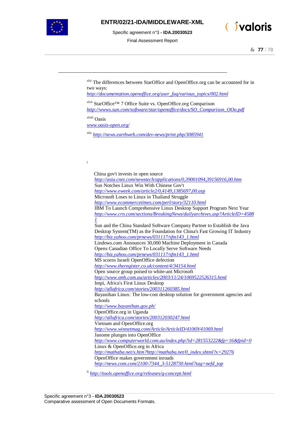

## **ENTR/02/21-IDA/MIDDLEWARE-XML**

Specific agreement n°3 **- IDA.20030523** 

Final Assessment Report



**& 77 /** 78

xlvi The differences between StarOffice and OpenOffice.org can be accounted for in two ways:

*http://documentation.openoffice.org/user\_faq/various\_topics/002.html*

xlvii StarOffice™ 7 Office Suite vs. OpenOffice.org Comparison *http://wwws.sun.com/software/star/openoffice/docs/SO\_Comparison\_OOo.pdf*

xlviii Oasis

l

*www.oasis-open.org/*

xlix *http://news.earthweb.com/dev-news/print.php/3085941*

China gov't invests in open source *http://asia.cnet.com/newstech/applications/0,39001094,39156916,00.htm* Sun Notches Linux Win With Chinese Gov't *http://www.eweek.com/article2/0,4149,1385697,00.asp* Microsoft Loses to Linux in Thailand Struggle *http://www.ecommercetimes.com/perl/story/32110.html* IBM To Launch Comprehensive Linux Desktop Support Program Next Year *http://www.crn.com/sections/BreakingNews/dailyarchives.asp?ArticleID=4588 1* Sun and the China Standard Software Company Partner to Establish the Java Desktop System(TM) as the Foundation for China's Fast Growing IT Industry *http://biz.yahoo.com/prnews/031117/sfm143\_1.html* Lindows.com Announces 30,000 Machine Deployment in Canada Opens Canadian Office To Locally Serve Software Needs *http://biz.yahoo.com/prnews/031117/sfm143\_1.html* MS scorns Israeli OpenOffice defection *http://www.theregister.co.uk/content/4/34154.html* Open source group poised to white-ant Microsoft *http://www.smh.com.au/articles/2003/11/24/1069522526315.html* Impi, Africa's First Linux Desktop *http://allafrica.com/stories/200311260385.html* Bayanihan Linux: The low-cost desktop solution for government agencies and schools *http://www.bayanihan.gov.ph/* OpenOffice.org in Uganda *http://allafrica.com/stories/200312030247.html* Vietnam and OpenOffice.org *http://www.winnetmag.com/Article/ArticleID/41069/41069.html* Janome plunges into OpenOffice *http://www.computerworld.com.au/index.php?id=281553222&fp=16&fpid=0* Linux & OpenOffice.org in Africa *http://mathaba.net/x.htm?http://mathaba.net/0\_index.shtml?x=29276* OpenOffice makes government inroads *http://news.com.com/2100-7344\_3-5128730.html?tag=nefd\_top*

li *http://tools.openoffice.org/releases/q-concept.html*